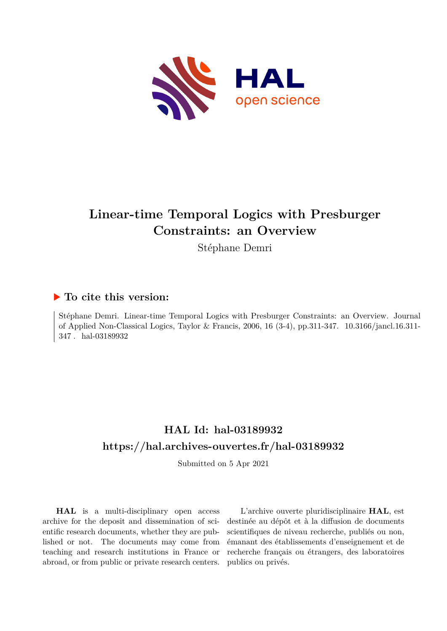

# **Linear-time Temporal Logics with Presburger Constraints: an Overview**

Stéphane Demri

# **To cite this version:**

Stéphane Demri. Linear-time Temporal Logics with Presburger Constraints: an Overview. Journal of Applied Non-Classical Logics, Taylor & Francis, 2006, 16  $(3-4)$ , pp.311-347. 10.3166/jancl.16.311- $347$  . hal-03189932

# **HAL Id: hal-03189932 <https://hal.archives-ouvertes.fr/hal-03189932>**

Submitted on 5 Apr 2021

**HAL** is a multi-disciplinary open access archive for the deposit and dissemination of scientific research documents, whether they are published or not. The documents may come from teaching and research institutions in France or abroad, or from public or private research centers.

L'archive ouverte pluridisciplinaire **HAL**, est destinée au dépôt et à la diffusion de documents scientifiques de niveau recherche, publiés ou non, émanant des établissements d'enseignement et de recherche français ou étrangers, des laboratoires publics ou privés.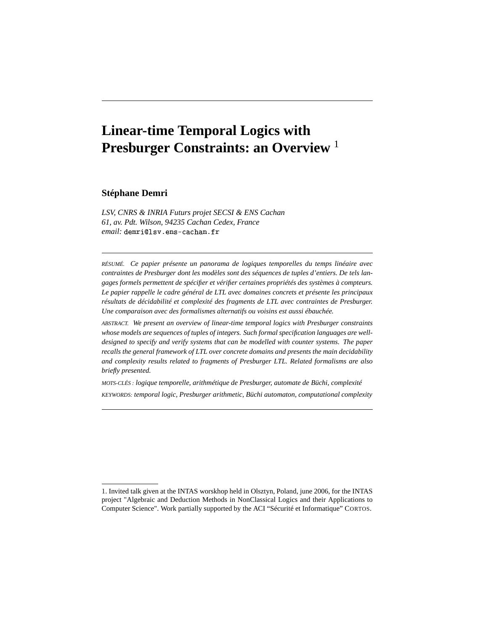# **Linear-time Temporal Logics with Presburger Constraints: an Overview** <sup>1</sup>

**Stéphane Demri**

*LSV, CNRS & INRIA Futurs projet SECSI & ENS Cachan 61, av. Pdt. Wilson, 94235 Cachan Cedex, France*  $email:$   $d$ emri@lsv.ens-cachan.fr

*RÉSUMÉ. Ce papier présente un panorama de logiques temporelles du temps linéaire avec contraintes de Presburger dont les modèles sont des séquences de tuples d'entiers. De tels langages formels permettent de spécifier et vérifier certaines propriétés des systèmes à compteurs. Le papier rappelle le cadre général de LTL avec domaines concrets et présente les principaux résultats de décidabilité et complexité des fragments de LTL avec contraintes de Presburger. Une comparaison avec des formalismes alternatifs ou voisins est aussi ébauchée.*

*ABSTRACT. We present an overview of linear-time temporal logics with Presburger constraints whose models are sequences of tuples of integers. Such formal specification languages are welldesigned to specify and verify systems that can be modelled with counter systems. The paper recalls the general framework of LTL over concrete domains and presents the main decidability and complexity results related to fragments of Presburger LTL. Related formalisms are also briefly presented.*

*MOTS-CLÉS : logique temporelle, arithmétique de Presburger, automate de Büchi, complexité KEYWORDS: temporal logic, Presburger arithmetic, Büchi automaton, computational complexity*

<sup>1</sup>. Invited talk given at the INTAS worskhop held in Olsztyn, Poland, june 2006, for the INTAS project "Algebraic and Deduction Methods in NonClassical Logics and their Applications to Computer Science". Work partially supported by the ACI "Sécurité et Informatique" CORTOS.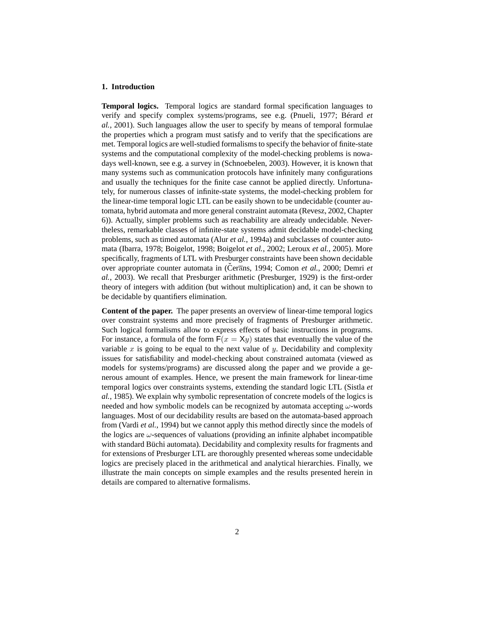# **1. Introduction**

**Temporal logics.** Temporal logics are standard formal specification languages to verify and specify complex systems/programs, see e.g. (Pnueli, 1977; Bérard *et al.*, 2001). Such languages allow the user to specify by means of temporal formulae the properties which a program must satisfy and to verify that the specifications are met. Temporal logics are well-studied formalisms to specify the behavior of finite-state systems and the computational complexity of the model-checking problems is nowadays well-known, see e.g. a survey in (Schnoebelen, 2003). However, it is known that many systems such as communication protocols have infinitely many configurations and usually the techniques for the finite case cannot be applied directly. Unfortunately, for numerous classes of infinite-state systems, the model-checking problem for the linear-time temporal logic LTL can be easily shown to be undecidable (counter automata, hybrid automata and more general constraint automata (Revesz, 2002, Chapter 6)). Actually, simpler problems such as reachability are already undecidable. Nevertheless, remarkable classes of infinite-state systems admit decidable model-checking problems, such as timed automata (Alur *et al.*, 1994a) and subclasses of counter automata (Ibarra, 1978; Boigelot, 1998; Boigelot *et al.*, 2002; Leroux *et al.*, 2005). More specifically, fragments of LTL with Presburger constraints have been shown decidable over appropriate counter automata in (Čerans, 1994; Comon *et al.*, 2000; Demri *et al.*, 2003). We recall that Presburger arithmetic (Presburger, 1929) is the first-order theory of integers with addition (but without multiplication) and, it can be shown to be decidable by quantifiers elimination.

**Content of the paper.** The paper presents an overview of linear-time temporal logics over constraint systems and more precisely of fragments of Presburger arithmetic. Such logical formalisms allow to express effects of basic instructions in programs. For instance, a formula of the form  $F(x = Xy)$  states that eventually the value of the variable x is going to be equal to the next value of y. Decidability and complexity issues for satisfiability and model-checking about constrained automata (viewed as models for systems/programs) are discussed along the paper and we provide a generous amount of examples. Hence, we present the main framework for linear-time temporal logics over constraints systems, extending the standard logic LTL (Sistla *et al.*, 1985). We explain why symbolic representation of concrete models of the logics is needed and how symbolic models can be recognized by automata accepting  $\omega$ -words languages. Most of our decidability results are based on the automata-based approach from (Vardi *et al.*, 1994) but we cannot apply this method directly since the models of the logics are  $\omega$ -sequences of valuations (providing an infinite alphabet incompatible with standard Büchi automata). Decidability and complexity results for fragments and for extensions of Presburger LTL are thoroughly presented whereas some undecidable logics are precisely placed in the arithmetical and analytical hierarchies. Finally, we illustrate the main concepts on simple examples and the results presented herein in details are compared to alternative formalisms.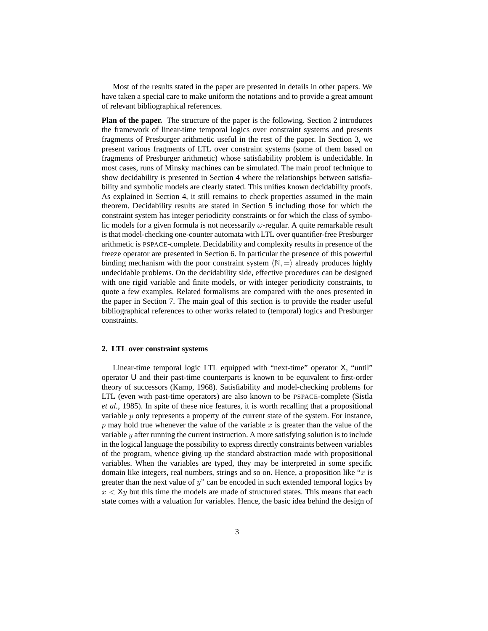Most of the results stated in the paper are presented in details in other papers. We have taken a special care to make uniform the notations and to provide a great amount of relevant bibliographical references.

**Plan of the paper.** The structure of the paper is the following. Section 2 introduces the framework of linear-time temporal logics over constraint systems and presents fragments of Presburger arithmetic useful in the rest of the paper. In Section 3, we present various fragments of LTL over constraint systems (some of them based on fragments of Presburger arithmetic) whose satisfiability problem is undecidable. In most cases, runs of Minsky machines can be simulated. The main proof technique to show decidability is presented in Section 4 where the relationships between satisfiability and symbolic models are clearly stated. This unifies known decidability proofs. As explained in Section 4, it still remains to check properties assumed in the main theorem. Decidability results are stated in Section 5 including those for which the constraint system has integer periodicity constraints or for which the class of symbolic models for a given formula is not necessarily  $\omega$ -regular. A quite remarkable result is that model-checking one-counter automata with LTL over quantifier-free Presburger arithmetic is PSPACE-complete. Decidability and complexity results in presence of the freeze operator are presented in Section 6. In particular the presence of this powerful binding mechanism with the poor constraint system  $\langle \mathbb{N}, = \rangle$  already produces highly undecidable problems. On the decidability side, effective procedures can be designed with one rigid variable and finite models, or with integer periodicity constraints, to quote a few examples. Related formalisms are compared with the ones presented in the paper in Section 7. The main goal of this section is to provide the reader useful bibliographical references to other works related to (temporal) logics and Presburger constraints.

#### **2. LTL over constraint systems**

Linear-time temporal logic LTL equipped with "next-time" operator X, "until" operator U and their past-time counterparts is known to be equivalent to first-order theory of successors (Kamp, 1968). Satisfiability and model-checking problems for LTL (even with past-time operators) are also known to be PSPACE-complete (Sistla *et al.*, 1985). In spite of these nice features, it is worth recalling that a propositional variable  $p$  only represents a property of the current state of the system. For instance,  $p$  may hold true whenever the value of the variable  $x$  is greater than the value of the variable  $y$  after running the current instruction. A more satisfying solution is to include in the logical language the possibility to express directly constraints between variables of the program, whence giving up the standard abstraction made with propositional variables. When the variables are typed, they may be interpreted in some specific domain like integers, real numbers, strings and so on. Hence, a proposition like " $x$  is greater than the next value of  $y$ " can be encoded in such extended temporal logics by  $x < X<sub>y</sub>$  but this time the models are made of structured states. This means that each state comes with a valuation for variables. Hence, the basic idea behind the design of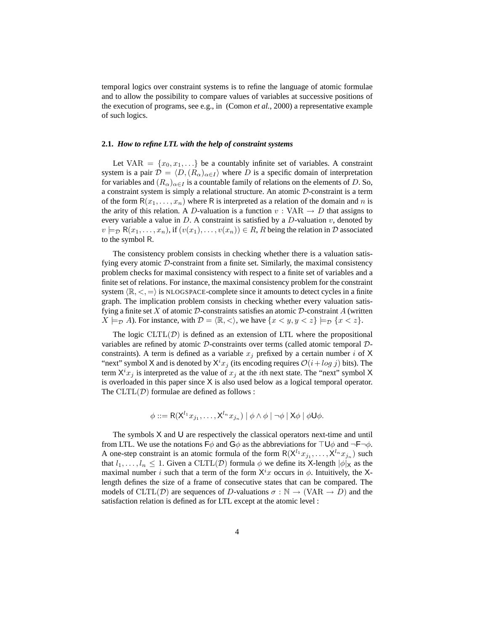temporal logics over constraint systems is to refine the language of atomic formulae and to allow the possibility to compare values of variables at successive positions of the execution of programs, see e.g., in (Comon *et al.*, 2000) a representative example of such logics.

# **2.1.** *How to refine LTL with the help of constraint systems*

Let VAR =  $\{x_0, x_1, \ldots\}$  be a countably infinite set of variables. A constraint system is a pair  $\mathcal{D} = \langle D, (R_{\alpha})_{\alpha \in I} \rangle$  where D is a specific domain of interpretation for variables and  $(R_{\alpha})_{\alpha \in I}$  is a countable family of relations on the elements of D. So, a constraint system is simply a relational structure. An atomic D-constraint is a term of the form  $R(x_1, \ldots, x_n)$  where R is interpreted as a relation of the domain and n is the arity of this relation. A D-valuation is a function  $v: VAR \rightarrow D$  that assigns to every variable a value in D. A constraint is satisfied by a D-valuation  $v$ , denoted by  $v \models_{\mathcal{D}} R(x_1, \ldots, x_n)$ , if  $(v(x_1), \ldots, v(x_n)) \in R$ , R being the relation in  $\mathcal{D}$  associated to the symbol R.

The consistency problem consists in checking whether there is a valuation satisfying every atomic D-constraint from a finite set. Similarly, the maximal consistency problem checks for maximal consistency with respect to a finite set of variables and a finite set of relations. For instance, the maximal consistency problem for the constraint system  $\langle \mathbb{R}, \langle \cdot, \rangle$  is NLOGSPACE-complete since it amounts to detect cycles in a finite graph. The implication problem consists in checking whether every valuation satisfying a finite set X of atomic  $D$ -constraints satisfies an atomic  $D$ -constraint A (written  $X \models_{\mathcal{D}} A$ ). For instance, with  $\mathcal{D} = \langle \mathbb{R}, \langle \rangle$ , we have  $\{x \langle y, y \langle z \rangle | \models_{\mathcal{D}} \{x \langle z \rangle\}$ .

The logic  $CLTL(\mathcal{D})$  is defined as an extension of LTL where the propositional variables are refined by atomic D-constraints over terms (called atomic temporal Dconstraints). A term is defined as a variable  $x_i$  prefixed by a certain number i of X "next" symbol X and is denoted by  $X^i x_j$  (its encoding requires  $\mathcal{O}(i + \log j)$  bits). The term  $X^{i}x_{j}$  is interpreted as the value of  $x_{j}$  at the *i*th next state. The "next" symbol X is overloaded in this paper since X is also used below as a logical temporal operator. The  $CLTL(\mathcal{D})$  formulae are defined as follows :

$$
\phi ::= \mathsf{R}(\mathsf{X}^{l_1} x_{j_1}, \ldots, \mathsf{X}^{l_n} x_{j_n}) \mid \phi \land \phi \mid \neg \phi \mid \mathsf{X} \phi \mid \phi \mathsf{U} \phi.
$$

The symbols  $X$  and  $U$  are respectively the classical operators next-time and until from LTL. We use the notations  $\mathsf{F}\phi$  and  $\mathsf{G}\phi$  as the abbreviations for  $\mathsf{T}\mathsf{U}\phi$  and  $\neg\mathsf{F}\neg\phi$ . A one-step constraint is an atomic formula of the form  $R(\mathsf{X}^{l_1} x_{j_1}, \ldots, \mathsf{X}^{l_n} x_{j_n})$  such that  $l_1, \ldots, l_n \leq 1$ . Given a CLTL(D) formula  $\phi$  we define its X-length  $|\phi|_X$  as the maximal number i such that a term of the form  $X^i x$  occurs in  $\phi$ . Intuitively, the Xlength defines the size of a frame of consecutive states that can be compared. The models of CLTL(D) are sequences of D-valuations  $\sigma : \mathbb{N} \to (\text{VAR} \to D)$  and the satisfaction relation is defined as for LTL except at the atomic level :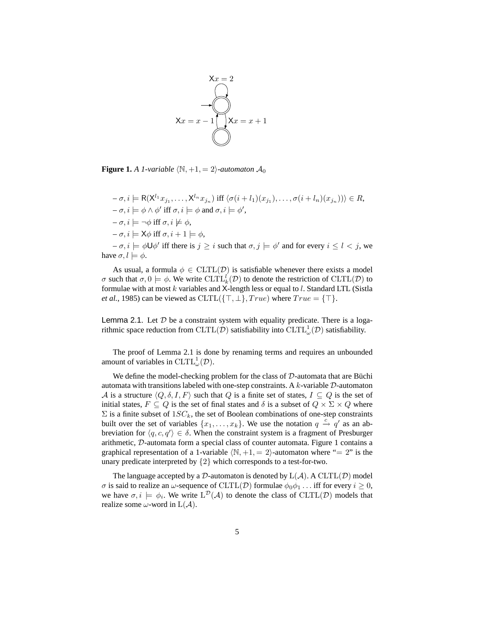

**Figure 1.** *A 1-variable*  $\langle \mathbb{N}, +1, = 2 \rangle$ *-automaton*  $\mathcal{A}_0$ 

 $-\sigma, i \models R(\mathsf{X}^{l_1}x_{j_1}, \ldots, \mathsf{X}^{l_n}x_{j_n}) \text{ iff } \langle \sigma(i+l_1)(x_{j_1}), \ldots, \sigma(i+l_n)(x_{j_n}) \rangle \in R,$  $-\sigma, i \models \phi \land \phi' \text{ iff } \sigma, i \models \phi \text{ and } \sigma, i \models \phi',$  $-\sigma, i \models \neg \phi \text{ iff } \sigma, i \not\models \phi,$  $-\sigma, i \models \mathsf{X}\phi \text{ iff } \sigma, i + 1 \models \phi,$ 

 $-\sigma, i \models \phi \cup \phi'$  iff there is  $j \geq i$  such that  $\sigma, j \models \phi'$  and for every  $i \leq l < j$ , we have  $\sigma, l \models \phi$ .

As usual, a formula  $\phi \in \text{CLTL}(\mathcal{D})$  is satisfiable whenever there exists a model σ such that  $\sigma, 0 \models \phi$ . We write  $CLTL_k^l(D)$  to denote the restriction of  $CLTL(D)$  to formulae with at most  $k$  variables and X-length less or equal to  $l$ . Standard LTL (Sistla *et al.*, 1985) can be viewed as  $CLTL({T, \perp}, True)$  where  $True = {T}.$ 

Lemma 2.1. Let  $D$  be a constraint system with equality predicate. There is a logarithmic space reduction from  $\mathrm{CLTL}(\mathcal{D})$  satisfiability into  $\mathrm{CLTL}_\omega^1(\mathcal{D})$  satisfiability.

The proof of Lemma 2.1 is done by renaming terms and requires an unbounded amount of variables in  $CLTL_{\omega}^{1}(\mathcal{D})$ .

We define the model-checking problem for the class of  $D$ -automata that are Büchi automata with transitions labeled with one-step constraints. A  $k$ -variable  $D$ -automaton A is a structure  $\langle Q, \delta, I, F \rangle$  such that Q is a finite set of states,  $I \subseteq Q$  is the set of initial states,  $F \subseteq Q$  is the set of final states and  $\delta$  is a subset of  $Q \times \Sigma \times Q$  where  $\Sigma$  is a finite subset of  $1SC_k$ , the set of Boolean combinations of one-step constraints built over the set of variables  $\{x_1, \ldots, x_k\}$ . We use the notation  $q \stackrel{c}{\rightarrow} q'$  as an abbreviation for  $\langle q, c, q' \rangle \in \delta$ . When the constraint system is a fragment of Presburger arithmetic, D-automata form a special class of counter automata. Figure 1 contains a graphical representation of a 1-variable  $\langle \mathbb{N}, +1, = 2 \rangle$ -automaton where "= 2" is the unary predicate interpreted by {2} which corresponds to a test-for-two.

The language accepted by a  $D$ -automaton is denoted by  $L(A)$ . A  $CLTL(\mathcal{D})$  model σ is said to realize an ω-sequence of CLTL(D) formulae  $\phi_0 \phi_1$ ... iff for every  $i \geq 0$ , we have  $\sigma, i \models \phi_i$ . We write  $L^{\mathcal{D}}(\mathcal{A})$  to denote the class of  $CLTL(\mathcal{D})$  models that realize some  $\omega$ -word in  $L(\mathcal{A})$ .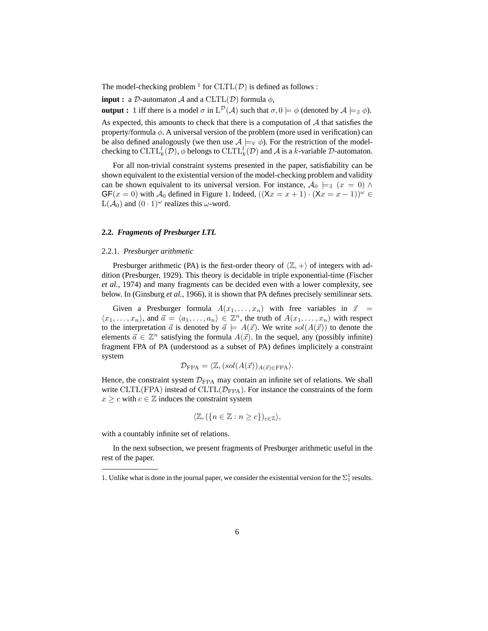The model-checking problem  $^1$  for  $CLTL(\mathcal{D})$  is defined as follows :

**input :** a D-automaton A and a CLTL(D) formula  $\phi$ ,

**output :** 1 iff there is a model  $\sigma$  in  $L^{\mathcal{D}}(\mathcal{A})$  such that  $\sigma, 0 \models \phi$  (denoted by  $\mathcal{A} \models_{\exists} \phi$ ).

As expected, this amounts to check that there is a computation of  $A$  that satisfies the property/formula  $\phi$ . A universal version of the problem (more used in verification) can be also defined analogously (we then use  $A \models_{\forall} \phi$ ). For the restriction of the modelchecking to  $CLTL_k^l(\mathcal{D})$ ,  $\phi$  belongs to  $CLTL_k^l(\mathcal{D})$  and  $\mathcal{A}$  is a k-variable  $\mathcal{D}\text{-automaton}$ .

For all non-trivial constraint systems presented in the paper, satisfiability can be shown equivalent to the existential version of the model-checking problem and validity can be shown equivalent to its universal version. For instance,  $\mathcal{A}_0 \models_{\exists} (x = 0) \land$  $GF(x = 0)$  with  $\mathcal{A}_0$  defined in Figure 1. Indeed,  $((\lambda x = x + 1) \cdot (\lambda x = x - 1))^{\omega} \in$  $L(\mathcal{A}_0)$  and  $(0 \cdot 1)^\omega$  realizes this  $\omega$ -word.

# **2.2.** *Fragments of Presburger LTL*

#### 2.2.1. *Presburger arithmetic*

Presburger arithmetic (PA) is the first-order theory of  $\langle \mathbb{Z}, + \rangle$  of integers with addition (Presburger, 1929). This theory is decidable in triple exponential-time (Fischer *et al.*, 1974) and many fragments can be decided even with a lower complexity, see below. In (Ginsburg *et al.*, 1966), it is shown that PA defines precisely semilinear sets.

Given a Presburger formula  $A(x_1, \ldots, x_n)$  with free variables in  $\vec{x}$  =  $\langle x_1, \ldots, x_n \rangle$ , and  $\vec{a} = \langle a_1, \ldots, a_n \rangle \in \mathbb{Z}^n$ , the truth of  $A(x_1, \ldots, x_n)$  with respect to the interpretation  $\vec{a}$  is denoted by  $\vec{a} \models A(\vec{x})$ . We write  $sol(A(\vec{x}))$  to denote the elements  $\vec{a} \in \mathbb{Z}^n$  satisfying the formula  $A(\vec{x})$ . In the sequel, any (possibly infinite) fragment FPA of PA (understood as a subset of PA) defines implicitely a constraint system

$$
\mathcal{D}_{\text{FPA}} = \langle \mathbb{Z}, (sol(A(\vec{x}))_{A(\vec{x}) \in \text{FPA}} \rangle.
$$

Hence, the constraint system  $\mathcal{D}_{\text{FPA}}$  may contain an infinite set of relations. We shall write CLTL(FPA) instead of CLTL( $\mathcal{D}_{\text{FPA}}$ ). For instance the constraints of the form  $x \geq c$  with  $c \in \mathbb{Z}$  induces the constraint system

$$
\langle \mathbb{Z}, (\{n \in \mathbb{Z} : n \ge c\})_{c \in \mathbb{Z}} \rangle,
$$

with a countably infinite set of relations.

In the next subsection, we present fragments of Presburger arithmetic useful in the rest of the paper.

<sup>1.</sup> Unlike what is done in the journal paper, we consider the existential version for the  $\Sigma^1$  results.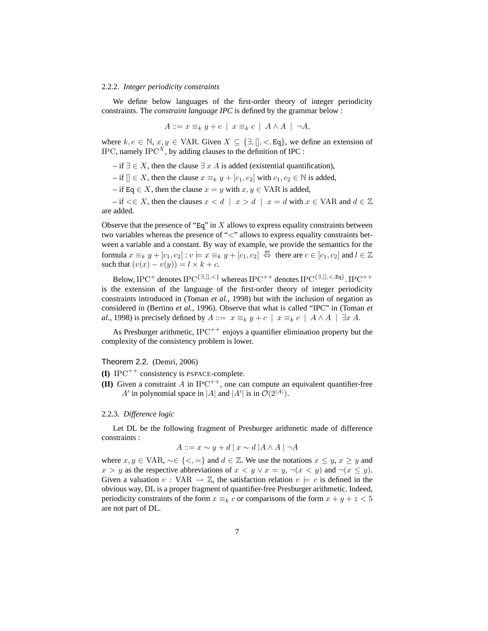#### 2.2.2. *Integer periodicity constraints*

We define below languages of the first-order theory of integer periodicity constraints. The *constraint language IPC* is defined by the grammar below :

$$
A ::= x \equiv_k y + c \mid x \equiv_k c \mid A \wedge A \mid \neg A,
$$

where  $k, c \in \mathbb{N}, x, y \in \text{VAR}$ . Given  $X \subseteq \{\exists, [\], <, \text{Eq}\}$ , we define an extension of IPC, namely  $IPC^{\dot{x}}$ , by adding clauses to the definition of IPC :

– if ∃  $\in$  X, then the clause  $\exists x \land A$  is added (existential quantification),

– if  $[ \, \in X$ , then the clause  $x \equiv_k y + [c_1, c_2]$  with  $c_1, c_2 \in \mathbb{N}$  is added,

– if Eq  $\in$  X, then the clause  $x = y$  with  $x, y \in \text{VAR}$  is added,

– if  $\lt \in X$ , then the clauses  $x \lt d \mid x > d \mid x = d$  with  $x \in \text{VAR}$  and  $d \in \mathbb{Z}$ are added.

Observe that the presence of "Eq" in  $X$  allows to express equality constraints between two variables whereas the presence of "<" allows to express equality constraints between a variable and a constant. By way of example, we provide the semantics for the formula  $x \equiv_k y + [c_1, c_2] : v \models x \equiv_k y + [c_1, c_2] \stackrel{\text{def}}{\Leftrightarrow}$  there are  $c \in [c_1, c_2]$  and  $l \in \mathbb{Z}$ such that  $(v(x) - v(y)) = l \times k + c$ .

Below, IPC<sup>+</sup> denotes IPC<sup>{∃,[],<}</sup> whereas IPC<sup>++</sup> denotes IPC<sup>{∃,[],<,Eq}</sup>. IPC<sup>++</sup> is the extension of the language of the first-order theory of integer periodicity constraints introduced in (Toman *et al.*, 1998) but with the inclusion of negation as considered in (Bertino *et al.*, 1996). Observe that what is called "IPC" in (Toman *et al.*, 1998) is precisely defined by  $A ::= x \equiv_k y + c \mid x \equiv_k c \mid A \land A \mid \exists x A$ .

As Presburger arithmetic,  $IPC^{++}$  enjoys a quantifier elimination property but the complexity of the consistency problem is lower.

#### Theorem 2.2. (Demri, 2006)

- **(I)** IPC<sup>++</sup> consistency is PSPACE-complete.
- **(II)** Given a constraint A in  $IPC^{++}$ , one can compute an equivalent quantifier-free A' in polynomial space in |A| and |A'| is in  $\mathcal{O}(2^{|A|})$ .

#### 2.2.3. *Difference logic*

Let DL be the following fragment of Presburger arithmetic made of difference constraints :

$$
A ::= x \sim y + d \mid x \sim d \mid A \land A \mid \neg A
$$

where  $x, y \in \text{VAR}, \neg \in \{ \leq, = \}$  and  $d \in \mathbb{Z}$ . We use the notations  $x \leq y, x \geq y$  and  $x > y$  as the respective abbreviations of  $x < y \lor x = y$ ,  $\neg(x < y)$  and  $\neg(x \le y)$ . Given a valuation  $v: VAR \rightarrow \mathbb{Z}$ , the satisfaction relation  $v \models c$  is defined in the obvious way. DL is a proper fragment of quantifier-free Presburger arithmetic. Indeed, periodicity constraints of the form  $x \equiv_k c$  or comparisons of the form  $x + y + z < 5$ are not part of DL.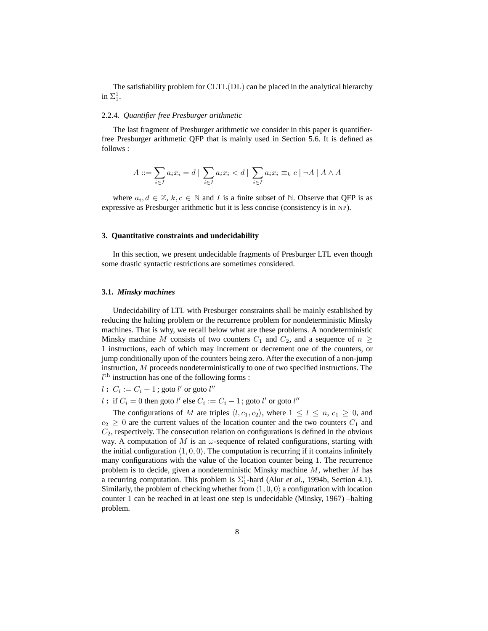The satisfiability problem for CLTL(DL) can be placed in the analytical hierarchy in  $\Sigma^1_1$ .

# 2.2.4. *Quantifier free Presburger arithmetic*

The last fragment of Presburger arithmetic we consider in this paper is quantifierfree Presburger arithmetic QFP that is mainly used in Section 5.6. It is defined as follows :

$$
A ::= \sum_{i \in I} a_i x_i = d \mid \sum_{i \in I} a_i x_i < d \mid \sum_{i \in I} a_i x_i \equiv_k c \mid \neg A \mid A \wedge A
$$

where  $a_i, d \in \mathbb{Z}$ ,  $k, c \in \mathbb{N}$  and I is a finite subset of  $\mathbb{N}$ . Observe that QFP is as expressive as Presburger arithmetic but it is less concise (consistency is in NP).

## **3. Quantitative constraints and undecidability**

In this section, we present undecidable fragments of Presburger LTL even though some drastic syntactic restrictions are sometimes considered.

#### **3.1.** *Minsky machines*

Undecidability of LTL with Presburger constraints shall be mainly established by reducing the halting problem or the recurrence problem for nondeterministic Minsky machines. That is why, we recall below what are these problems. A nondeterministic Minsky machine M consists of two counters  $C_1$  and  $C_2$ , and a sequence of  $n \geq$ 1 instructions, each of which may increment or decrement one of the counters, or jump conditionally upon of the counters being zero. After the execution of a non-jump instruction, M proceeds nondeterministically to one of two specified instructions. The  $l<sup>th</sup>$  instruction has one of the following forms :

 $l$  :  $C_i := C_i + 1$  ; goto  $l'$  or goto  $l''$ 

*l* : if  $C_i = 0$  then goto *l'* else  $C_i := C_i - 1$ ; goto *l'* or goto *l''* 

The configurations of M are triples  $\langle l, c_1, c_2 \rangle$ , where  $1 \leq l \leq n, c_1 \geq 0$ , and  $c_2 \geq 0$  are the current values of the location counter and the two counters  $C_1$  and  $C_2$ , respectively. The consecution relation on configurations is defined in the obvious way. A computation of M is an  $\omega$ -sequence of related configurations, starting with the initial configuration  $\langle 1, 0, 0 \rangle$ . The computation is recurring if it contains infinitely many configurations with the value of the location counter being 1. The recurrence problem is to decide, given a nondeterministic Minsky machine  $M$ , whether  $M$  has a recurring computation. This problem is  $\Sigma_1^1$ -hard (Alur *et al.*, 1994b, Section 4.1). Similarly, the problem of checking whether from  $\langle 1, 0, 0 \rangle$  a configuration with location counter 1 can be reached in at least one step is undecidable (Minsky, 1967) –halting problem.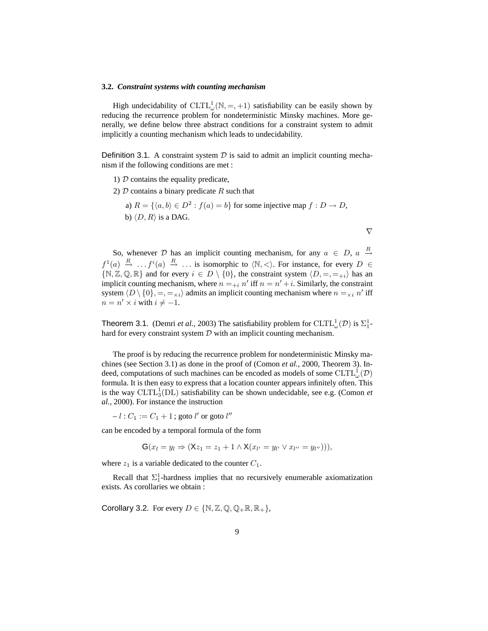#### **3.2.** *Constraint systems with counting mechanism*

High undecidability of  $CLTL_{\omega}^{1}(\mathbb{N}, =, +1)$  satisfiability can be easily shown by reducing the recurrence problem for nondeterministic Minsky machines. More generally, we define below three abstract conditions for a constraint system to admit implicitly a counting mechanism which leads to undecidability.

**Definition 3.1.** A constraint system  $D$  is said to admit an implicit counting mechanism if the following conditions are met :

- 1)  $D$  contains the equality predicate,
- 2)  $D$  contains a binary predicate R such that
	- a)  $R = \{ \langle a, b \rangle \in D^2 : f(a) = b \}$  for some injective map  $f : D \to D$ , b)  $\langle D, R \rangle$  is a DAG.

 $\nabla$ 

So, whenever D has an implicit counting mechanism, for any  $a \in D$ ,  $a \stackrel{R}{\rightarrow}$  $f^1(a) \stackrel{R}{\rightarrow} \ldots f^i(a) \stackrel{R}{\rightarrow} \ldots$  is isomorphic to  $\langle \mathbb{N}, \lt \rangle$ . For instance, for every  $D \in$  $\{N, Z, Q, \mathbb{R}\}\$  and for every  $i \in D \setminus \{0\}$ , the constraint system  $\langle D, =, =_{+i} \rangle$  has an implicit counting mechanism, where  $n =_{+i} n'$  iff  $n = n' + i$ . Similarly, the constraint system  $\langle D \setminus \{0\}, =, =_{\times i} \rangle$  admits an implicit counting mechanism where  $n =_{\times i} n'$  iff  $n = n' \times i$  with  $i \neq -1$ .

**Theorem 3.1.** (Demri *et al.*, 2003) The satisfiability problem for  $CLTL_{\omega}^{1}(\mathcal{D})$  is  $\Sigma_{1}^{1}$ hard for every constraint system  $D$  with an implicit counting mechanism.

The proof is by reducing the recurrence problem for nondeterministic Minsky machines (see Section 3.1) as done in the proof of (Comon *et al.*, 2000, Theorem 3). Indeed, computations of such machines can be encoded as models of some  $\operatorname{CLTL}^{1}_{\omega}(\mathcal{D})$ formula. It is then easy to express that a location counter appears infinitely often. This is the way  $CLTL<sub>3</sub><sup>1</sup>(DL)$  satisfiability can be shown undecidable, see e.g. (Comon *et al.*, 2000). For instance the instruction

 $-l:C_1:=C_1+1$  ; goto  $l'$  or goto  $l''$ 

can be encoded by a temporal formula of the form

$$
\mathbf{G}(x_l=y_l\Rightarrow (\mathsf{X}z_1=z_1+1\land \mathsf{X}(x_{l'}=y_{l'}\lor x_{l''}=y_{l''}))),
$$

where  $z_1$  is a variable dedicated to the counter  $C_1$ .

Recall that  $\Sigma_1^1$ -hardness implies that no recursively enumerable axiomatization exists. As corollaries we obtain :

Corollary 3.2. For every  $D \in \{ \mathbb{N}, \mathbb{Z}, \mathbb{Q}, \mathbb{Q}_+ \mathbb{R}, \mathbb{R}_+ \},$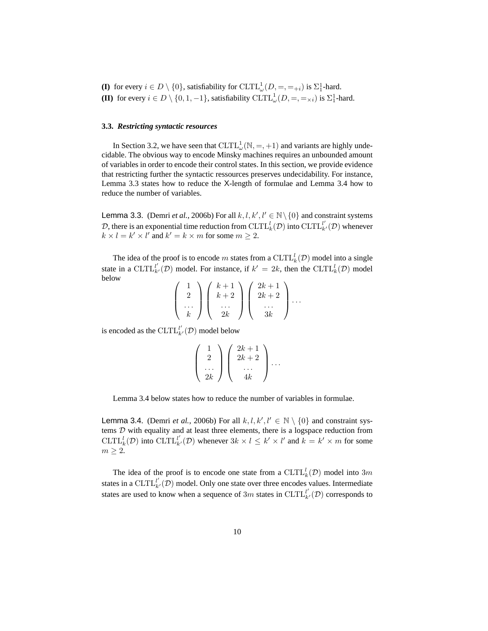**(I)** for every  $i \in D \setminus \{0\}$ , satisfiability for  $CLTL_{\omega}^{1}(D, =, =_{+i})$  is  $\Sigma_{1}^{1}$ -hard. **(II)** for every  $i \in D \setminus \{0, 1, -1\}$ , satisfiability  $CLTL_{\omega}^1(D, =, =_{\times i})$  is  $\Sigma_1^1$ -hard.

# **3.3.** *Restricting syntactic resources*

In Section 3.2, we have seen that  $CLTL_{\omega}^{1}(\mathbb{N}, =, +1)$  and variants are highly undecidable. The obvious way to encode Minsky machines requires an unbounded amount of variables in order to encode their control states. In this section, we provide evidence that restricting further the syntactic ressources preserves undecidability. For instance, Lemma 3.3 states how to reduce the X-length of formulae and Lemma 3.4 how to reduce the number of variables.

**Lemma 3.3.** (Demri *et al.*, 2006b) For all  $k, l, k', l' \in \mathbb{N} \setminus \{0\}$  and constraint systems D, there is an exponential time reduction from  $CLTL_k^l(D)$  into  $CLTL_{k'}^{l'}(D)$  whenever  $k \times l = k' \times l'$  and  $k' = k \times m$  for some  $m \geq 2$ .

The idea of the proof is to encode m states from a  $\operatorname{CLTL}_k^l(\mathcal{D})$  model into a single state in a CLTL<sup>'</sup> $\iota(\mathcal{D})$  model. For instance, if  $k' = 2k$ , then the CLTL<sup>'</sup> $\iota(\mathcal{D})$  model below  $\mathbb{R}^{\mathbb{Z}}$ 

$$
\left(\begin{array}{c}1\\2\\ \cdots\\ k\end{array}\right)\left(\begin{array}{c}k+1\\k+2\\ \cdots\\ 2k\end{array}\right)\left(\begin{array}{c}2k+1\\2k+2\\ \cdots\\ 3k\end{array}\right)\cdots
$$

is encoded as the  $\mathrm{CLTL}_{k'}^{l'}(\mathcal{D})$  model below

$$
\left(\begin{array}{c}1\\2\\...\\2k\end{array}\right)\left(\begin{array}{c}2k+1\\2k+2\\...\\4k\end{array}\right)\cdots
$$

Lemma 3.4 below states how to reduce the number of variables in formulae.

**Lemma 3.4.** (Demri *et al.*, 2006b) For all  $k, l, k', l' \in \mathbb{N} \setminus \{0\}$  and constraint systems D with equality and at least three elements, there is a logspace reduction from CLTL<sup>l</sup><sub>k</sub>(D) into CLTL<sup>l'</sup><sub>k'</sub>(D) whenever  $3k \times l \le k' \times l'$  and  $k = k' \times m$  for some  $m \geq 2$ .

The idea of the proof is to encode one state from a  $CLTL_k^l(D)$  model into  $3m$ states in a CLTL $l'_{k'}(\mathcal{D})$  model. Only one state over three encodes values. Intermediate states are used to know when a sequence of 3m states in CLTL $_{k'}^{l'}(\mathcal{D})$  corresponds to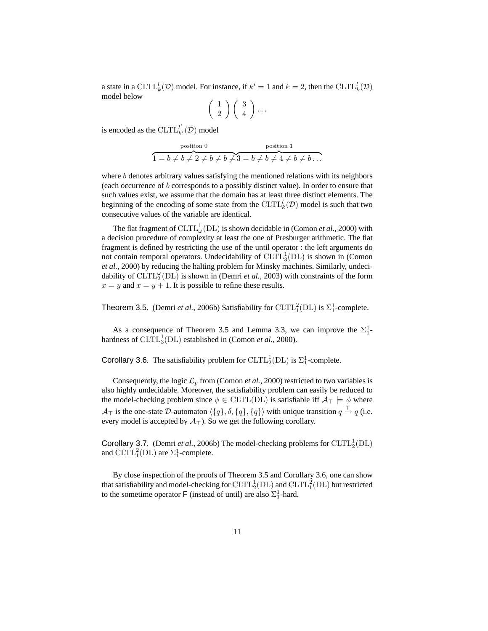a state in a  $CLTL_k^l(D)$  model. For instance, if  $k' = 1$  and  $k = 2$ , then the  $CLTL_k^l(D)$ model below

$$
\left(\begin{array}{c}1\\2\end{array}\right)\left(\begin{array}{c}3\\4\end{array}\right)\cdots
$$

is encoded as the  $\mathrm{CLTL}_{k'}^{l'}(\mathcal{D})$  model

$$
\overbrace{1=b\neq b\neq 2\neq b\neq b\neq 3=b\neq b\neq 4\neq b\neq b\ldots}^{\text{position 1}}
$$

where b denotes arbitrary values satisfying the mentioned relations with its neighbors (each occurrence of b corresponds to a possibly distinct value). In order to ensure that such values exist, we assume that the domain has at least three distinct elements. The beginning of the encoding of some state from the  $\mathrm{CLTL}_k^l(\mathcal{D})$  model is such that two consecutive values of the variable are identical.

The flat fragment of  $\operatorname{CLTL}_\omega^1(\operatorname{DL})$  is shown decidable in (Comon *et al.*, 2000) with a decision procedure of complexity at least the one of Presburger arithmetic. The flat fragment is defined by restricting the use of the until operator : the left arguments do not contain temporal operators. Undecidability of  $CLTL_3^1(DL)$  is shown in (Comon *et al.*, 2000) by reducing the halting problem for Minsky machines. Similarly, undecidability of  $CLTL_2^{\omega}(DL)$  is shown in (Demri *et al.*, 2003) with constraints of the form  $x = y$  and  $x = y + 1$ . It is possible to refine these results.

**Theorem 3.5.** (Demri *et al.*, 2006b) Satisfiability for  $CLTL_1^2(DL)$  is  $\Sigma_1^1$ -complete.

As a consequence of Theorem 3.5 and Lemma 3.3, we can improve the  $\Sigma_1^1$ hardness of  $CLTL_3^1(DL)$  established in (Comon *et al.*, 2000).

Corollary 3.6. The satisfiability problem for  $CLTL_2^1(DL)$  is  $\Sigma_1^1$ -complete.

Consequently, the logic  $\mathcal{L}_p$  from (Comon *et al.*, 2000) restricted to two variables is also highly undecidable. Moreover, the satisfiability problem can easily be reduced to the model-checking problem since  $\phi \in \text{CLTL}(\text{DL})$  is satisfiable iff  $\mathcal{A}_{\top} \models \phi$  where  $\mathcal{A}_\top$  is the one-state D-automaton  $\langle \{q\}, \delta, \{q\}, \{q\} \rangle$  with unique transition  $q \stackrel{\top}{\rightarrow} q$  (i.e. every model is accepted by  $A_{\perp}$ ). So we get the following corollary.

Corollary 3.7. (Demri *et al.*, 2006b) The model-checking problems for  $CLTL_2^1(DL)$ and  $CLTL_1^2(DL)$  are  $\Sigma_1^1$ -complete.

By close inspection of the proofs of Theorem 3.5 and Corollary 3.6, one can show that satisfiability and model-checking for  $\mathrm{CLTL}_2^1(\mathrm{DL})$  and  $\mathrm{CLTL}_1^2(\mathrm{DL})$  but restricted to the sometime operator **F** (instead of until) are also  $\Sigma_1^1$ -hard.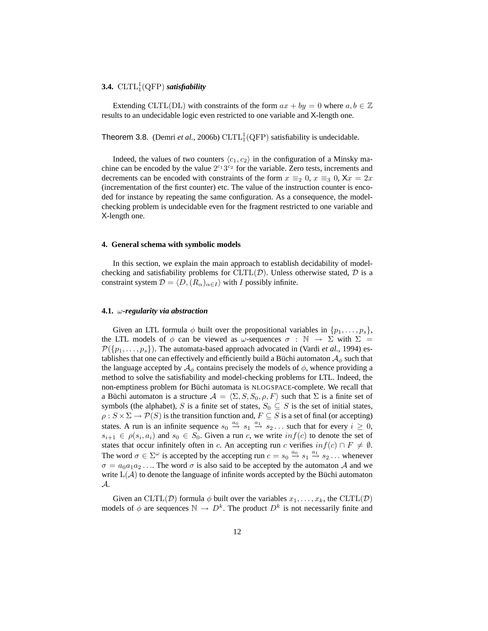# **3.4.**  $CLTL_1^1(QFP)$  *satisfiability*

Extending CLTL(DL) with constraints of the form  $ax + by = 0$  where  $a, b \in \mathbb{Z}$ results to an undecidable logic even restricted to one variable and X-length one.

Theorem 3.8. (Demri *et al.*, 2006b)  $CLTL_1^1(QFP)$  satisfiability is undecidable.

Indeed, the values of two counters  $\langle c_1, c_2 \rangle$  in the configuration of a Minsky machine can be encoded by the value  $2^{c_1}3^{c_2}$  for the variable. Zero tests, increments and decrements can be encoded with constraints of the form  $x \equiv_2 0$ ,  $x \equiv_3 0$ ,  $Xx = 2x$ (incrementation of the first counter) etc. The value of the instruction counter is encoded for instance by repeating the same configuration. As a consequence, the modelchecking problem is undecidable even for the fragment restricted to one variable and X-length one.

# **4. General schema with symbolic models**

In this section, we explain the main approach to establish decidability of modelchecking and satisfiability problems for  $CLTL(D)$ . Unless otherwise stated, D is a constraint system  $\mathcal{D} = \langle D, (R_{\alpha})_{\alpha \in I} \rangle$  with I possibly infinite.

## **4.1.** ω*-regularity via abstraction*

Given an LTL formula  $\phi$  built over the propositional variables in  $\{p_1, \ldots, p_s\}$ , the LTL models of  $\phi$  can be viewed as  $\omega$ -sequences  $\sigma : \mathbb{N} \to \Sigma$  with  $\Sigma =$  $\mathcal{P}(\{p_1, \ldots, p_s\})$ . The automata-based approach advocated in (Vardi *et al.*, 1994) establishes that one can effectively and efficiently build a Büchi automaton  $A_{\phi}$  such that the language accepted by  $A_{\phi}$  contains precisely the models of  $\phi$ , whence providing a method to solve the satisfiability and model-checking problems for LTL. Indeed, the non-emptiness problem for Büchi automata is NLOGSPACE-complete. We recall that a Büchi automaton is a structure  $\mathcal{A} = \langle \Sigma, S, S_0, \rho, F \rangle$  such that  $\Sigma$  is a finite set of symbols (the alphabet), S is a finite set of states,  $S_0 \subseteq S$  is the set of initial states,  $\rho: S \times \Sigma \to \mathcal{P}(S)$  is the transition function and,  $F \subseteq S$  is a set of final (or accepting) states. A run is an infinite sequence  $s_0 \stackrel{a_0}{\rightarrow} s_1 \stackrel{a_1}{\rightarrow} s_2 \dots$  such that for every  $i \geq 0$ ,  $s_{i+1} \in \rho(s_i, a_i)$  and  $s_0 \in S_0$ . Given a run c, we write  $inf(c)$  to denote the set of states that occur infinitely often in c. An accepting run c verifies  $inf(c) \cap F \neq \emptyset$ . The word  $\sigma \in \Sigma^{\omega}$  is accepted by the accepting run  $c = s_0 \stackrel{a_0}{\rightarrow} s_1 \stackrel{a_1}{\rightarrow} s_2 \dots$  whenever  $\sigma = a_0 a_1 a_2 \dots$  The word  $\sigma$  is also said to be accepted by the automaton A and we write  $L(\mathcal{A})$  to denote the language of infinite words accepted by the Büchi automaton A.

Given an CLTL(D) formula  $\phi$  built over the variables  $x_1, \ldots, x_k$ , the CLTL(D) models of  $\phi$  are sequences  $\mathbb{N} \to D^k$ . The product  $D^k$  is not necessarily finite and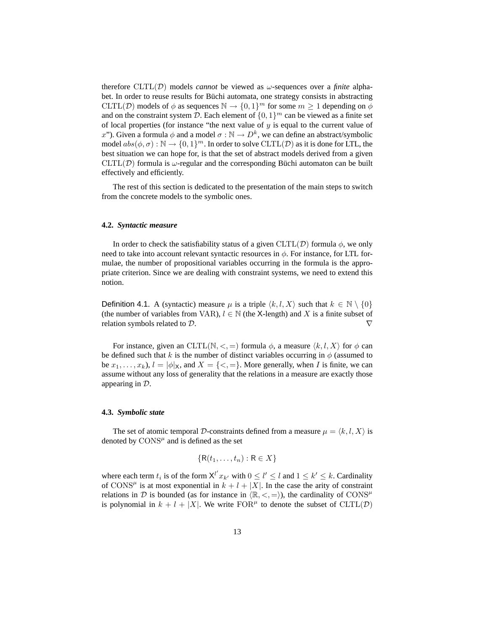therefore  $CLTL(\mathcal{D})$  models *cannot* be viewed as  $\omega$ -sequences over a *finite* alphabet. In order to reuse results for Büchi automata, one strategy consists in abstracting CLTL(D) models of  $\phi$  as sequences  $\mathbb{N} \to \{0,1\}^m$  for some  $m \geq 1$  depending on  $\phi$ and on the constraint system D. Each element of  $\{0,1\}^m$  can be viewed as a finite set of local properties (for instance "the next value of  $y$  is equal to the current value of x"). Given a formula  $\phi$  and a model  $\sigma : \mathbb{N} \to D^k$ , we can define an abstract/symbolic model  $abs(\phi, \sigma) : \mathbb{N} \to \{0, 1\}^m$ . In order to solve  $CLTL(\mathcal{D})$  as it is done for LTL, the best situation we can hope for, is that the set of abstract models derived from a given  $CLTL(\mathcal{D})$  formula is  $\omega$ -regular and the corresponding Büchi automaton can be built effectively and efficiently.

The rest of this section is dedicated to the presentation of the main steps to switch from the concrete models to the symbolic ones.

#### **4.2.** *Syntactic measure*

In order to check the satisfiability status of a given  $CLTL(\mathcal{D})$  formula  $\phi$ , we only need to take into account relevant syntactic resources in  $\phi$ . For instance, for LTL formulae, the number of propositional variables occurring in the formula is the appropriate criterion. Since we are dealing with constraint systems, we need to extend this notion.

Definition 4.1. A (syntactic) measure  $\mu$  is a triple  $\langle k, l, X \rangle$  such that  $k \in \mathbb{N} \setminus \{0\}$ (the number of variables from VAR),  $l \in \mathbb{N}$  (the X-length) and X is a finite subset of relation symbols related to  $D$ .

For instance, given an CLTL( $\mathbb{N}, \leq$ ,  $=$ ) formula  $\phi$ , a measure  $\langle k, l, X \rangle$  for  $\phi$  can be defined such that k is the number of distinct variables occurring in  $\phi$  (assumed to be  $x_1, \ldots, x_k$ ,  $l = |\phi|_X$ , and  $X = \{ \langle \xi, \xi \rangle \}$ . More generally, when I is finite, we can assume without any loss of generality that the relations in a measure are exactly those appearing in D.

# **4.3.** *Symbolic state*

The set of atomic temporal D-constraints defined from a measure  $\mu = \langle k, l, X \rangle$  is denoted by  $\text{CONS}^{\mu}$  and is defined as the set

$$
\{R(t_1,\ldots,t_n):R\in X\}
$$

where each term  $t_i$  is of the form  $X^{l'} x_{k'}$  with  $0 \le l' \le l$  and  $1 \le k' \le k$ . Cardinality of CONS<sup> $\mu$ </sup> is at most exponential in  $k + l + |X|$ . In the case the arity of constraint relations in D is bounded (as for instance in  $\langle \mathbb{R}, \langle \cdot, = \rangle$ ), the cardinality of CONS<sup> $\mu$ </sup> is polynomial in  $k + l + |X|$ . We write  $FOR^{\mu}$  to denote the subset of  $CLTL(\mathcal{D})$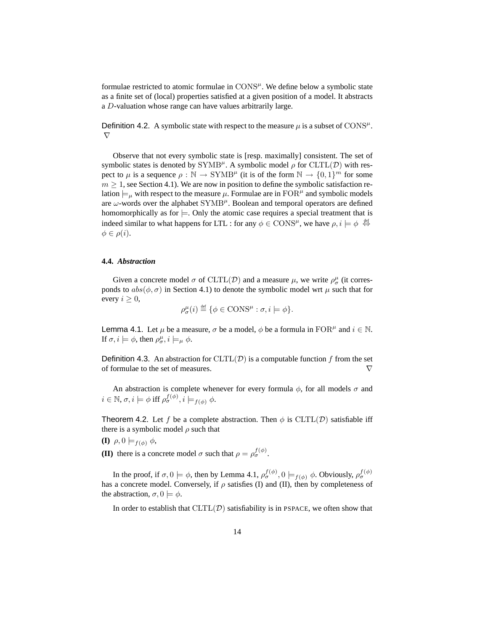formulae restricted to atomic formulae in  $\text{CONS}^{\mu}$ . We define below a symbolic state as a finite set of (local) properties satisfied at a given position of a model. It abstracts a D-valuation whose range can have values arbitrarily large.

Definition 4.2. A symbolic state with respect to the measure  $\mu$  is a subset of CONS<sup> $\mu$ </sup>.  $\nabla$ 

Observe that not every symbolic state is [resp. maximally] consistent. The set of symbolic states is denoted by  $\text{SYMB}^{\mu}$ . A symbolic model  $\rho$  for  $\text{CLTL}(\mathcal{D})$  with respect to  $\mu$  is a sequence  $\rho : \mathbb{N} \to \text{SYMB}^{\mu}$  (it is of the form  $\mathbb{N} \to \{0, 1\}^m$  for some  $m \geq 1$ , see Section 4.1). We are now in position to define the symbolic satisfaction relation  $\models_{\mu}$  with respect to the measure  $\mu$ . Formulae are in  $\text{FOR}^{\mu}$  and symbolic models are  $\omega$ -words over the alphabet SYMB<sup> $\mu$ </sup>. Boolean and temporal operators are defined homomorphically as for  $\models$ . Only the atomic case requires a special treatment that is indeed similar to what happens for LTL : for any  $\phi \in \text{CONS}^{\mu}$ , we have  $\rho, i \models \phi \stackrel{\text{def}}{\Leftrightarrow}$  $\phi \in \rho(i)$ .

# **4.4.** *Abstraction*

Given a concrete model  $\sigma$  of CLTL(D) and a measure  $\mu$ , we write  $\rho^{\mu}_{\sigma}$  (it corresponds to  $abs(\phi, \sigma)$  in Section 4.1) to denote the symbolic model wrt  $\mu$  such that for every  $i \geq 0$ ,

$$
\rho_{\sigma}^{\mu}(i) \stackrel{\text{def}}{=} \{ \phi \in \text{CONS}^{\mu} : \sigma, i \models \phi \}.
$$

**Lemma 4.1.** Let  $\mu$  be a measure,  $\sigma$  be a model,  $\phi$  be a formula in  $\text{FOR}^{\mu}$  and  $i \in \mathbb{N}$ . If  $\sigma, i \models \phi$ , then  $\rho^{\mu}_{\sigma}, i \models_{\mu} \phi$ .

**Definition 4.3.** An abstraction for  $CLTL(\mathcal{D})$  is a computable function f from the set of formulae to the set of measures.  $\triangledown$ 

An abstraction is complete whenever for every formula  $\phi$ , for all models  $\sigma$  and  $i \in \mathbb{N}, \sigma, i \models \phi \text{ iff } \rho_{\sigma}^{f(\phi)}, i \models_{f(\phi)} \phi.$ 

Theorem 4.2. Let f be a complete abstraction. Then  $\phi$  is CLTL(D) satisfiable iff there is a symbolic model  $\rho$  such that

**(I)**  $\rho, 0 \models_{f(\phi)} \phi,$ 

**(II)** there is a concrete model  $\sigma$  such that  $\rho = \rho_{\sigma}^{f(\phi)}$ .

In the proof, if  $\sigma, 0 \models \phi$ , then by Lemma 4.1,  $\rho_{\sigma}^{f(\phi)}, 0 \models_{f(\phi)} \phi$ . Obviously,  $\rho_{\sigma}^{f(\phi)}$ has a concrete model. Conversely, if  $\rho$  satisfies (I) and (II), then by completeness of the abstraction,  $\sigma$ ,  $0 \models \phi$ .

In order to establish that  $CLTL(\mathcal{D})$  satisfiability is in PSPACE, we often show that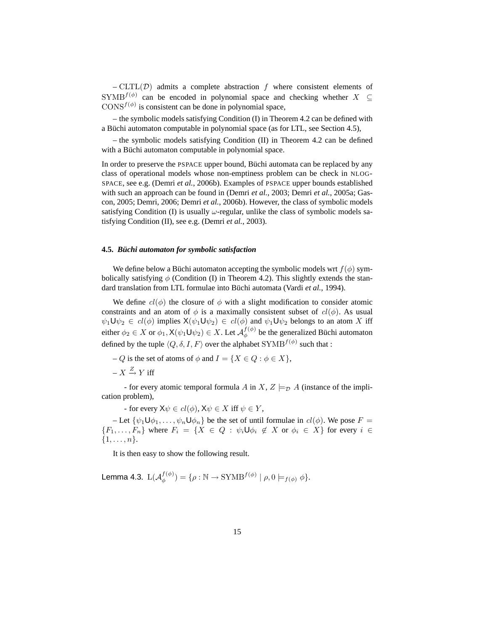$-CLTL(\mathcal{D})$  admits a complete abstraction f where consistent elements of SYMB<sup> $f(\phi)$ </sup> can be encoded in polynomial space and checking whether  $X \subseteq$  $\text{CONS}^{f(\phi)}$  is consistent can be done in polynomial space,

– the symbolic models satisfying Condition (I) in Theorem 4.2 can be defined with a Büchi automaton computable in polynomial space (as for LTL, see Section 4.5),

– the symbolic models satisfying Condition (II) in Theorem 4.2 can be defined with a Büchi automaton computable in polynomial space.

In order to preserve the PSPACE upper bound, Büchi automata can be replaced by any class of operational models whose non-emptiness problem can be check in NLOG-SPACE, see e.g. (Demri *et al.*, 2006b). Examples of PSPACE upper bounds established with such an approach can be found in (Demri *et al.*, 2003; Demri *et al.*, 2005a; Gascon, 2005; Demri, 2006; Demri *et al.*, 2006b). However, the class of symbolic models satisfying Condition (I) is usually  $\omega$ -regular, unlike the class of symbolic models satisfying Condition (II), see e.g. (Demri *et al.*, 2003).

# **4.5.** *Büchi automaton for symbolic satisfaction*

We define below a Büchi automaton accepting the symbolic models wrt  $f(\phi)$  symbolically satisfying  $\phi$  (Condition (I) in Theorem 4.2). This slightly extends the standard translation from LTL formulae into Büchi automata (Vardi *et al.*, 1994).

We define  $cl(\phi)$  the closure of  $\phi$  with a slight modification to consider atomic constraints and an atom of  $\phi$  is a maximally consistent subset of  $cl(\phi)$ . As usual  $\psi_1 \cup \psi_2 \in cl(\phi)$  implies  $X(\psi_1 \cup \psi_2) \in cl(\phi)$  and  $\psi_1 \cup \psi_2$  belongs to an atom X iff either  $\phi_2\in X$  or  $\phi_1,$  X $(\psi_1\mathsf{U} \psi_2)\in X.$  Let  $\mathcal{A}^{f(\phi)}_\phi$  $\psi^{(\varphi)}$  be the generalized Büchi automaton defined by the tuple  $\langle Q,\delta,I,F\rangle$  over the alphabet  $\text{SYMB}^{f(\phi)}$  such that :

– Q is the set of atoms of  $\phi$  and  $I = \{X \in Q : \phi \in X\},\$ 

 $-X \stackrel{Z}{\rightarrow} Y$  iff

- for every atomic temporal formula A in X,  $Z \models_{\mathcal{D}} A$  (instance of the implication problem),

- for every  $X\psi \in cl(\phi)$ ,  $X\psi \in X$  iff  $\psi \in Y$ ,

– Let  $\{\psi_1 \mathsf{U} \phi_1, \dots, \psi_n \mathsf{U} \phi_n\}$  be the set of until formulae in  $cl(\phi)$ . We pose  $F =$  ${F_1, \ldots, F_n}$  where  $F_i = {X \in Q : \psi_i \cup \phi_i \notin X \text{ or } \phi_i \in X}$  for every  $i \in$  $\{1, \ldots, n\}.$ 

It is then easy to show the following result.

Lemma 4.3.  $\mathop{\hbox{\rm L}}\nolimits({\cal A}_{\phi}^{f(\phi)})$  $\psi^{f(\phi)}_{\phi}) = \{ \rho : \mathbb{N} \to \text{SYMB}^{f(\phi)} \mid \rho, 0 \models_{f(\phi)} \phi \}.$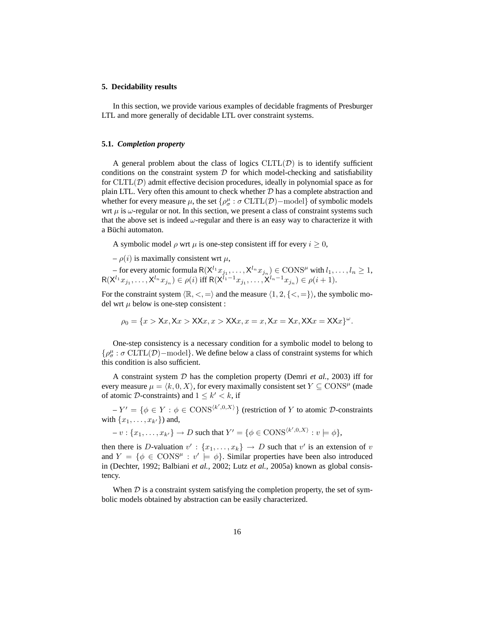### **5. Decidability results**

In this section, we provide various examples of decidable fragments of Presburger LTL and more generally of decidable LTL over constraint systems.

#### **5.1.** *Completion property*

A general problem about the class of logics  $CLTL(\mathcal{D})$  is to identify sufficient conditions on the constraint system  $D$  for which model-checking and satisfiability for  $CLTL(\mathcal{D})$  admit effective decision procedures, ideally in polynomial space as for plain LTL. Very often this amount to check whether  $D$  has a complete abstraction and whether for every measure  $\mu$ , the set  $\{\rho^\mu_\sigma : \sigma \, \text{CLTL}(\mathcal{D})\text{--model}\}$  of symbolic models wrt  $\mu$  is  $\omega$ -regular or not. In this section, we present a class of constraint systems such that the above set is indeed  $\omega$ -regular and there is an easy way to characterize it with a Büchi automaton.

A symbolic model  $\rho$  wrt  $\mu$  is one-step consistent iff for every  $i \geq 0$ ,

–  $\rho(i)$  is maximally consistent wrt  $\mu$ ,

– for every atomic formula  $R(X^{l_1}x_{j_1},...,X^{l_n}x_{j_n}) \in \text{CONS}^{\mu}$  with  $l_1,...,l_n \geq 1$ ,  $R(X^{l_1}x_{j_1},...,X^{l_n}x_{j_n}) \in \rho(i)$  iff  $R(X^{l_1-1}x_{j_1},...,X^{l_n-1}x_{j_n}) \in \rho(i+1)$ .

For the constraint system  $\langle \mathbb{R}, <, = \rangle$  and the measure  $\langle 1, 2, \{<, = \} \rangle$ , the symbolic model wrt  $\mu$  below is one-step consistent :

$$
\rho_0 = \{x > \mathsf{X}x, \mathsf{X}x > \mathsf{X}\mathsf{X}x, x > \mathsf{X}\mathsf{X}x, x = x, \mathsf{X}x = \mathsf{X}x, \mathsf{X}\mathsf{X}x = \mathsf{X}\mathsf{X}x\}^{\omega}.
$$

One-step consistency is a necessary condition for a symbolic model to belong to  $\{\rho^\mu_\sigma: \sigma \mathrm{\,CLTL}(\mathcal{D})\mathrm{-model}\}.$  We define below a class of constraint systems for which this condition is also sufficient.

A constraint system D has the completion property (Demri *et al.*, 2003) iff for every measure  $\mu = \langle k, 0, X \rangle$ , for every maximally consistent set  $Y \subseteq \text{CONS}^{\mu}$  (made of atomic D-constraints) and  $1 \leq k' < k$ , if

 $-Y' = \{ \phi \in Y : \phi \in \text{CONS}^{\langle k', 0, X \rangle} \}$  (restriction of Y to atomic D-constraints with  $\{x_1, \ldots, x_{k'}\}$  and,

$$
-v: \{x_1, \ldots, x_{k'}\} \to D \text{ such that } Y' = \{\phi \in \text{CONS}^{\langle k', 0, X \rangle} : v \models \phi\},
$$

then there is D-valuation  $v' : \{x_1, \ldots, x_k\} \to D$  such that  $v'$  is an extension of v and  $Y = \{\phi \in \text{CONS}^{\mu} : v' \models \phi\}$ . Similar properties have been also introduced in (Dechter, 1992; Balbiani *et al.*, 2002; Lutz *et al.*, 2005a) known as global consistency.

When  $\mathcal D$  is a constraint system satisfying the completion property, the set of symbolic models obtained by abstraction can be easily characterized.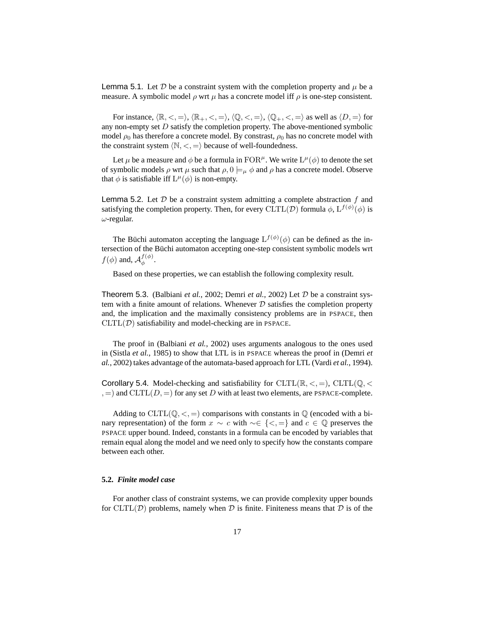Lemma 5.1. Let  $D$  be a constraint system with the completion property and  $\mu$  be a measure. A symbolic model  $\rho$  wrt  $\mu$  has a concrete model iff  $\rho$  is one-step consistent.

For instance,  $\langle \mathbb{R}, \langle \rangle, \langle \mathbb{R}_+, \langle \rangle, \rangle, \langle \mathbb{Q}, \langle \rangle, \langle \rangle, \langle \rangle, \langle \rangle)$  as well as  $\langle D, \rangle$  for any non-empty set  $D$  satisfy the completion property. The above-mentioned symbolic model  $\rho_0$  has therefore a concrete model. By constrast,  $\rho_0$  has no concrete model with the constraint system  $\langle \mathbb{N}, \langle \cdot, \cdot \rangle$  because of well-foundedness.

Let  $\mu$  be a measure and  $\phi$  be a formula in FOR<sup> $\mu$ </sup>. We write  $L^{\mu}(\phi)$  to denote the set of symbolic models  $\rho$  wrt  $\mu$  such that  $\rho$ ,  $0 \models_{\mu} \phi$  and  $\rho$  has a concrete model. Observe that  $\phi$  is satisfiable iff  $L^{\mu}(\phi)$  is non-empty.

**Lemma 5.2.** Let  $D$  be a constraint system admitting a complete abstraction  $f$  and satisfying the completion property. Then, for every  $CLTL(\mathcal{D})$  formula  $\phi$ ,  $L^{f(\phi)}(\phi)$  is  $\omega$ -regular.

The Büchi automaton accepting the language  $L^{f(\phi)}(\phi)$  can be defined as the intersection of the Büchi automaton accepting one-step consistent symbolic models wrt  $f(\phi)$  and,  $\mathcal{A}_{\phi}^{f(\phi)}$ ιφ).<br>φ

Based on these properties, we can establish the following complexity result.

Theorem 5.3. (Balbiani *et al.*, 2002; Demri *et al.*, 2002) Let  $D$  be a constraint system with a finite amount of relations. Whenever  $D$  satisfies the completion property and, the implication and the maximally consistency problems are in PSPACE, then  $CLTL(\mathcal{D})$  satisfiability and model-checking are in PSPACE.

The proof in (Balbiani *et al.*, 2002) uses arguments analogous to the ones used in (Sistla *et al.*, 1985) to show that LTL is in PSPACE whereas the proof in (Demri *et al.*, 2002) takes advantage of the automata-based approach for LTL (Vardi *et al.*, 1994).

Corollary 5.4. Model-checking and satisfiability for CLTL $(\mathbb{R}, \leq, =)$ , CLTL $(\mathbb{Q}, \leq)$  $, =$ ) and CLTL $(D, =)$  for any set D with at least two elements, are PSPACE-complete.

Adding to CLTL $(\mathbb{Q}, \leq, =)$  comparisons with constants in  $\mathbb{Q}$  (encoded with a binary representation) of the form  $x \sim c$  with ~∈ {<, = } and  $c \in \mathbb{Q}$  preserves the PSPACE upper bound. Indeed, constants in a formula can be encoded by variables that remain equal along the model and we need only to specify how the constants compare between each other.

# **5.2.** *Finite model case*

For another class of constraint systems, we can provide complexity upper bounds for CLTL( $D$ ) problems, namely when  $D$  is finite. Finiteness means that  $D$  is of the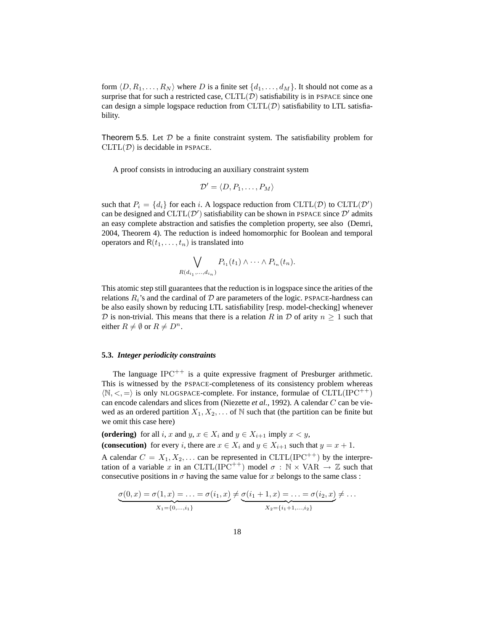form  $\langle D, R_1, \ldots, R_N \rangle$  where D is a finite set  $\{d_1, \ldots, d_M\}$ . It should not come as a surprise that for such a restricted case,  $CLTL(\mathcal{D})$  satisfiability is in PSPACE since one can design a simple logspace reduction from  $CLTL(\mathcal{D})$  satisfiability to LTL satisfiability.

Theorem 5.5. Let  $D$  be a finite constraint system. The satisfiability problem for  $CLTL(\mathcal{D})$  is decidable in PSPACE.

A proof consists in introducing an auxiliary constraint system

$$
\mathcal{D}' = \langle D, P_1, \ldots, P_M \rangle
$$

such that  $P_i = \{d_i\}$  for each i. A logspace reduction from  $CLTL(\mathcal{D})$  to  $CLTL(\mathcal{D}')$ can be designed and  $CLTL(D')$  satisfiability can be shown in PSPACE since  $D'$  admits an easy complete abstraction and satisfies the completion property, see also (Demri, 2004, Theorem 4). The reduction is indeed homomorphic for Boolean and temporal operators and  $R(t_1, \ldots, t_n)$  is translated into

$$
\bigvee_{R(d_{i_1},...,d_{i_n})} P_{i_1}(t_1) \wedge \cdots \wedge P_{i_n}(t_n).
$$

This atomic step still guarantees that the reduction is in logspace since the arities of the relations  $R_i$ 's and the cardinal of  $D$  are parameters of the logic. PSPACE-hardness can be also easily shown by reducing LTL satisfiability [resp. model-checking] whenever D is non-trivial. This means that there is a relation R in D of arity  $n \geq 1$  such that either  $R \neq \emptyset$  or  $R \neq D^n$ .

# **5.3.** *Integer periodicity constraints*

The language  $IPC^{++}$  is a quite expressive fragment of Presburger arithmetic. This is witnessed by the PSPACE-completeness of its consistency problem whereas  $\langle \mathbb{N}, \langle \cdot, \cdot \rangle$  is only NLOGSPACE-complete. For instance, formulae of CLTL(IPC<sup>++</sup>) can encode calendars and slices from (Niezette *et al.*, 1992). A calendar C can be viewed as an ordered partition  $X_1, X_2, \ldots$  of N such that (the partition can be finite but we omit this case here)

**(ordering)** for all i, x and y,  $x \in X_i$  and  $y \in X_{i+1}$  imply  $x \leq y$ , **(consecution)** for every i, there are  $x \in X_i$  and  $y \in X_{i+1}$  such that  $y = x + 1$ .

A calendar  $C = X_1, X_2, \ldots$  can be represented in CLTL(IPC<sup>++</sup>) by the interpretation of a variable x in an CLTL(IPC<sup>++</sup>) model  $\sigma : \mathbb{N} \times \text{VAR} \rightarrow \mathbb{Z}$  such that consecutive positions in  $\sigma$  having the same value for x belongs to the same class :

$$
\underbrace{\sigma(0,x) = \sigma(1,x) = \ldots = \sigma(i_1,x)}_{X_1 = \{0,\ldots,i_1\}} \neq \underbrace{\sigma(i_1+1,x) = \ldots = \sigma(i_2,x)}_{X_2 = \{i_1+1,\ldots,i_2\}} \neq \ldots
$$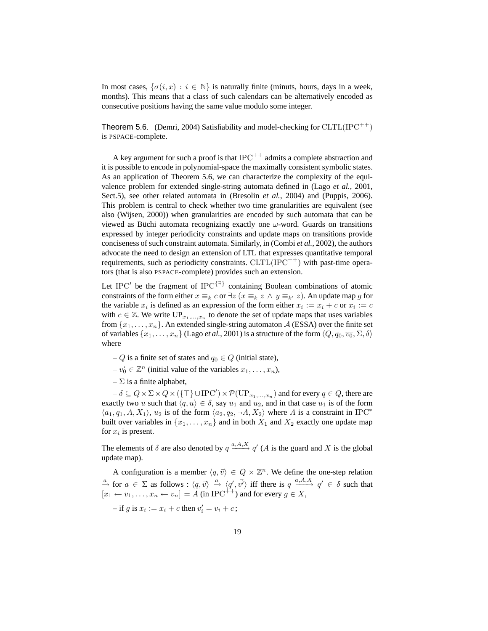In most cases,  $\{\sigma(i, x) : i \in \mathbb{N}\}\$ is naturally finite (minuts, hours, days in a week, months). This means that a class of such calendars can be alternatively encoded as consecutive positions having the same value modulo some integer.

**Theorem 5.6.** (Demri, 2004) Satisfiability and model-checking for  $CLTL(IPC^{++})$ is PSPACE-complete.

A key argument for such a proof is that  $IPC^{++}$  admits a complete abstraction and it is possible to encode in polynomial-space the maximally consistent symbolic states. As an application of Theorem 5.6, we can characterize the complexity of the equivalence problem for extended single-string automata defined in (Lago *et al.*, 2001, Sect.5), see other related automata in (Bresolin *et al.*, 2004) and (Puppis, 2006). This problem is central to check whether two time granularities are equivalent (see also (Wijsen, 2000)) when granularities are encoded by such automata that can be viewed as Büchi automata recognizing exactly one  $\omega$ -word. Guards on transitions expressed by integer periodicity constraints and update maps on transitions provide conciseness of such constraint automata. Similarly, in (Combi *et al.*, 2002), the authors advocate the need to design an extension of LTL that expresses quantitative temporal requirements, such as periodicity constraints.  $CLTL(IPC^{++})$  with past-time operators (that is also PSPACE-complete) provides such an extension.

Let IPC' be the fragment of IPC<sup>{∃}</sup> containing Boolean combinations of atomic constraints of the form either  $x \equiv_k c$  or  $\exists z$  ( $x \equiv_k z \land y \equiv_{k'} z$ ). An update map g for the variable  $x_i$  is defined as an expression of the form either  $x_i := x_i + c$  or  $x_i := c$ with  $c \in \mathbb{Z}$ . We write  $UP_{x_1,...,x_n}$  to denote the set of update maps that uses variables from  $\{x_1, \ldots, x_n\}$ . An extended single-string automaton A (ESSA) over the finite set of variables  $\{x_1, \ldots, x_n\}$  (Lago *et al.*, 2001) is a structure of the form  $\langle Q, q_0, \overline{v_0}, \Sigma, \delta \rangle$ where

- Q is a finite set of states and  $q_0 \in Q$  (initial state),
- $-\vec{v_0} \in \mathbb{Z}^n$  (initial value of the variables  $x_1, \ldots, x_n$ ),
- $-\Sigma$  is a finite alphabet,

 $-\delta \subseteq Q \times \Sigma \times Q \times (\{\top\} \cup \mathrm{IPC'}') \times \mathcal{P}(\mathrm{UP}_{x_1,\ldots,x_n})$  and for every  $q \in Q$ , there are exactly two u such that  $\langle q, u \rangle \in \delta$ , say  $u_1$  and  $u_2$ , and in that case  $u_1$  is of the form  $\langle a_1, q_1, A, X_1 \rangle$ ,  $u_2$  is of the form  $\langle a_2, q_2, \neg A, X_2 \rangle$  where A is a constraint in IPC<sup>\*</sup> built over variables in  $\{x_1, \ldots, x_n\}$  and in both  $X_1$  and  $X_2$  exactly one update map for  $x_i$  is present.

The elements of  $\delta$  are also denoted by  $q \stackrel{a, A, X}{\longrightarrow} q'$  (A is the guard and X is the global update map).

A configuration is a member  $\langle q, \vec{v} \rangle \in Q \times \mathbb{Z}^n$ . We define the one-step relation  $\stackrel{a}{\to}$  for  $a \in \Sigma$  as follows :  $\langle q, \vec{v} \rangle \stackrel{a}{\to} \langle q', \vec{v'} \rangle$  iff there is  $q \stackrel{a}{\to} q' \in \delta$  such that  $[x_1 \leftarrow v_1, \ldots, x_n \leftarrow v_n] \models A$  (in IPC<sup>++</sup>) and for every  $g \in X$ ,

 $-$  if g is  $x_i := x_i + c$  then  $v'_i = v_i + c$ ;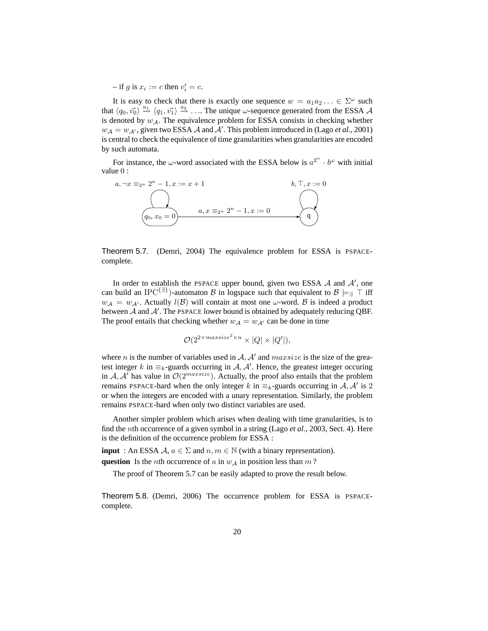$-$  if g is  $x_i := c$  then  $v'_i = c$ .

It is easy to check that there is exactly one sequence  $w = a_1 a_2 ... \in \Sigma^{\omega}$  such that  $\langle q_0, \vec{v_0} \rangle \stackrel{a_1}{\rightarrow} \langle q_1, \vec{v_1} \rangle \stackrel{a_2}{\rightarrow} \ldots$  The unique  $\omega$ -sequence generated from the ESSA A is denoted by  $w_{\mathcal{A}}$ . The equivalence problem for ESSA consists in checking whether  $w_{\mathcal{A}} = w_{\mathcal{A}}$ , given two ESSA  $\mathcal A$  and  $\mathcal A'$ . This problem introduced in (Lago *et al.*, 2001) is central to check the equivalence of time granularities when granularities are encoded by such automata.

For instance, the  $\omega$ -word associated with the ESSA below is  $a^{2^n} \cdot b^{\omega}$  with initial value 0 :



Theorem 5.7. (Demri, 2004) The equivalence problem for ESSA is PSPACEcomplete.

In order to establish the PSPACE upper bound, given two ESSA  $A$  and  $A'$ , one can build an IPC<sup>{∃}</sup>)-automaton B in logspace such that equivalent to  $B \models_{\exists} \top$  iff  $w_A = w_{A'}$ . Actually  $l(B)$  will contain at most one  $\omega$ -word. B is indeed a product between  $A$  and  $A'$ . The PSPACE lower bound is obtained by adequately reducing QBF. The proof entails that checking whether  $w_A = w_{A'}$  can be done in time

$$
\mathcal{O}(2^{2 \times max size^2 \times n} \times |Q| \times |Q'|),
$$

where *n* is the number of variables used in  $A$ ,  $A'$  and  $maxsize$  is the size of the greatest integer k in  $\equiv_k$ -guards occurring in A, A'. Hence, the greatest integer occuring in A, A' has value in  $\mathcal{O}(2^{maxsize})$ . Actually, the proof also entails that the problem remains PSPACE-hard when the only integer k in  $\equiv_k$ -guards occurring in A, A' is 2 or when the integers are encoded with a unary representation. Similarly, the problem remains PSPACE-hard when only two distinct variables are used.

Another simpler problem which arises when dealing with time granularities, is to find the nth occurrence of a given symbol in a string (Lago *et al.*, 2003, Sect. 4). Here is the definition of the occurrence problem for ESSA :

**input** : An ESSA  $A, a \in \Sigma$  and  $n, m \in \mathbb{N}$  (with a binary representation). **question** Is the *n*th occurrence of a in  $w_A$  in position less than m?

The proof of Theorem 5.7 can be easily adapted to prove the result below.

Theorem 5.8. (Demri, 2006) The occurrence problem for ESSA is PSPACEcomplete.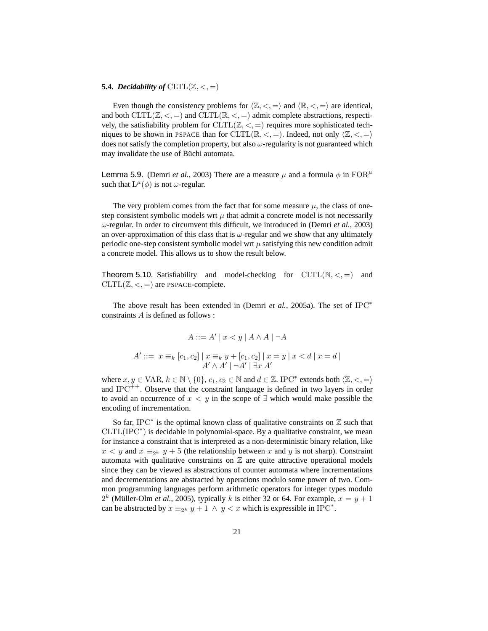# **5.4.** *Decidability of*  $CLTL(\mathbb{Z}, <, =)$

Even though the consistency problems for  $\langle \mathbb{Z}, \langle \cdot, \cdot \rangle$  and  $\langle \mathbb{R}, \langle \cdot, \cdot \rangle$  are identical, and both  $CLTL(\mathbb{Z}, \leq, =)$  and  $CLTL(\mathbb{R}, \leq, =)$  admit complete abstractions, respectively, the satisfiability problem for  $CLTL(\mathbb{Z}, \leq)$  requires more sophisticated techniques to be shown in PSPACE than for CLTL( $\mathbb{R}, \leq, =$ ). Indeed, not only  $\langle \mathbb{Z}, \leq, = \rangle$ does not satisfy the completion property, but also  $\omega$ -regularity is not guaranteed which may invalidate the use of Büchi automata.

**Lemma 5.9.** (Demri *et al.*, 2003) There are a measure  $\mu$  and a formula  $\phi$  in FOR<sup> $\mu$ </sup> such that  $L^{\mu}(\phi)$  is not  $\omega$ -regular.

The very problem comes from the fact that for some measure  $\mu$ , the class of onestep consistent symbolic models wrt  $\mu$  that admit a concrete model is not necessarily  $\omega$ -regular. In order to circumvent this difficult, we introduced in (Demri *et al.*, 2003) an over-approximation of this class that is  $\omega$ -regular and we show that any ultimately periodic one-step consistent symbolic model wrt  $\mu$  satisfying this new condition admit a concrete model. This allows us to show the result below.

**Theorem 5.10.** Satisfiability and model-checking for  $CLTL(N, \lt,)=)$  and  $CLTL(\mathbb{Z}, <, =)$  are PSPACE-complete.

The above result has been extended in (Demri *et al.*, 2005a). The set of IPC<sup>∗</sup> constraints A is defined as follows :

$$
A ::= A' | x < y | A \land A | \neg A
$$

$$
A' ::= x \equiv_k [c_1, c_2] | x \equiv_k y + [c_1, c_2] | x = y | x < d | x = d |
$$
  

$$
A' \wedge A' | \neg A' | \exists x A'
$$

where  $x, y \in \text{VAR}, k \in \mathbb{N} \setminus \{0\}, c_1, c_2 \in \mathbb{N}$  and  $d \in \mathbb{Z}$ . IPC<sup>\*</sup> extends both  $\langle \mathbb{Z}, \lt,, \equiv \rangle$ and IPC<sup>++</sup>. Observe that the constraint language is defined in two layers in order to avoid an occurrence of  $x < y$  in the scope of ∃ which would make possible the encoding of incrementation.

So far, IPC<sup>\*</sup> is the optimal known class of qualitative constraints on  $\mathbb Z$  such that CLTL(IPC<sup>∗</sup> ) is decidable in polynomial-space. By a qualitative constraint, we mean for instance a constraint that is interpreted as a non-deterministic binary relation, like  $x < y$  and  $x \equiv_{2^k} y + 5$  (the relationship between x and y is not sharp). Constraint automata with qualitative constraints on  $Z$  are quite attractive operational models since they can be viewed as abstractions of counter automata where incrementations and decrementations are abstracted by operations modulo some power of two. Common programming languages perform arithmetic operators for integer types modulo  $2<sup>k</sup>$  (Müller-Olm *et al.*, 2005), typically k is either 32 or 64. For example,  $x = y + 1$ can be abstracted by  $x \equiv_{2^k} y + 1 \wedge y < x$  which is expressible in IPC<sup>\*</sup>.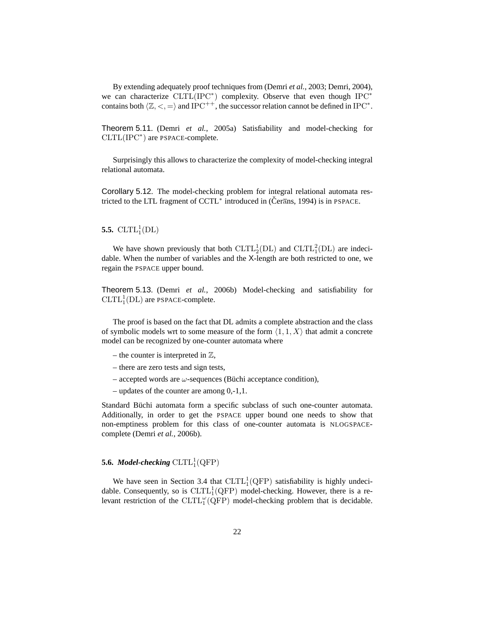By extending adequately proof techniques from (Demri *et al.*, 2003; Demri, 2004), we can characterize CLTL(IPC<sup>\*</sup>) complexity. Observe that even though IPC<sup>\*</sup> contains both  $\langle \mathbb{Z}, <, = \rangle$  and IPC<sup>++</sup>, the successor relation cannot be defined in IPC<sup>∗</sup>.

Theorem 5.11. (Demri *et al.*, 2005a) Satisfiability and model-checking for CLTL(IPC<sup>∗</sup> ) are PSPACE-complete.

Surprisingly this allows to characterize the complexity of model-checking integral relational automata.

Corollary 5.12. The model-checking problem for integral relational automata restricted to the LTL fragment of CCTL<sup>∗</sup> introduced in (Čerans, 1994) is in PSPACE.

# **5.5.**  $CLTL_1^1(DL)$

We have shown previously that both  $CLTL_2^1(DL)$  and  $CLTL_1^2(DL)$  are indecidable. When the number of variables and the X-length are both restricted to one, we regain the PSPACE upper bound.

Theorem 5.13. (Demri *et al.*, 2006b) Model-checking and satisfiability for  $CLTL<sub>1</sub><sup>1</sup>(DL)$  are PSPACE-complete.

The proof is based on the fact that DL admits a complete abstraction and the class of symbolic models wrt to some measure of the form  $\langle 1, 1, X \rangle$  that admit a concrete model can be recognized by one-counter automata where

- the counter is interpreted in  $\mathbb{Z}$ ,
- there are zero tests and sign tests,
- accepted words are  $\omega$ -sequences (Büchi acceptance condition),
- updates of the counter are among 0,-1,1.

Standard Büchi automata form a specific subclass of such one-counter automata. Additionally, in order to get the PSPACE upper bound one needs to show that non-emptiness problem for this class of one-counter automata is NLOGSPACEcomplete (Demri *et al.*, 2006b).

# **5.6.** Model-checking  $CLTL_1^1(QFP)$

We have seen in Section 3.4 that  $CLTL_1^1(QFP)$  satisfiability is highly undecidable. Consequently, so is  $CLTL_1^1(QFP)$  model-checking. However, there is a relevant restriction of the CLTL<sup> $\omega$ </sup>(QFP) model-checking problem that is decidable.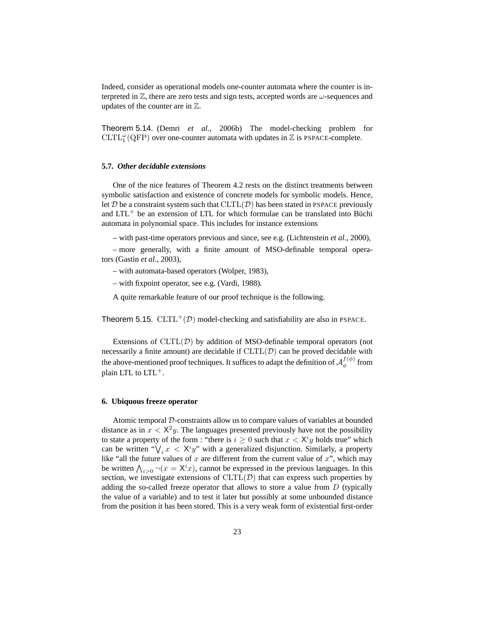Indeed, consider as operational models one-counter automata where the counter is interpreted in  $\mathbb{Z}$ , there are zero tests and sign tests, accepted words are  $\omega$ -sequences and updates of the counter are in Z.

Theorem 5.14. (Demri *et al.*, 2006b) The model-checking problem for  $CLTL_1^{\omega}(QFP)$  over one-counter automata with updates in  $\mathbb Z$  is PSPACE-complete.

# **5.7.** *Other decidable extensions*

One of the nice features of Theorem 4.2 rests on the distinct treatments between symbolic satisfaction and existence of concrete models for symbolic models. Hence, let  $D$  be a constraint system such that  $CLTL(D)$  has been stated in PSPACE previously and  $LTL^{+}$  be an extension of LTL for which formulae can be translated into Büchi automata in polynomial space. This includes for instance extensions

– with past-time operators previous and since, see e.g. (Lichtenstein *et al.*, 2000),

– more generally, with a finite amount of MSO-definable temporal operators (Gastin *et al.*, 2003),

– with automata-based operators (Wolper, 1983),

– with fixpoint operator, see e.g. (Vardi, 1988).

A quite remarkable feature of our proof technique is the following.

Theorem 5.15.  $CLTL^{+}(D)$  model-checking and satisfiability are also in PSPACE.

Extensions of  $CLTL(\mathcal{D})$  by addition of MSO-definable temporal operators (not necessarily a finite amount) are decidable if  $CLTL(\mathcal{D})$  can be proved decidable with the above-mentioned proof techniques. It suffices to adapt the definition of  $\mathcal{A}_{\phi}^{f(\phi)}$  $_{\phi}^{J(\varphi)}$  from plain LTL to LTL+.

#### **6. Ubiquous freeze operator**

Atomic temporal D-constraints allow us to compare values of variables at bounded distance as in  $x < X^2y$ . The languages presented previously have not the possibility to state a property of the form : "there is  $i \geq 0$  such that  $x < X<sup>i</sup>y$  holds true" which can be written " $\bigvee_i x < X^i y$ " with a generalized disjunction. Similarly, a property like "all the future values of  $x$  are different from the current value of  $x$ ", which may be written  $\bigwedge_{i>0} \neg(x = X^i x)$ , cannot be expressed in the previous languages. In this section, we investigate extensions of  $CLTL(\mathcal{D})$  that can express such properties by adding the so-called freeze operator that allows to store a value from D (typically the value of a variable) and to test it later but possibly at some unbounded distance from the position it has been stored. This is a very weak form of existential first-order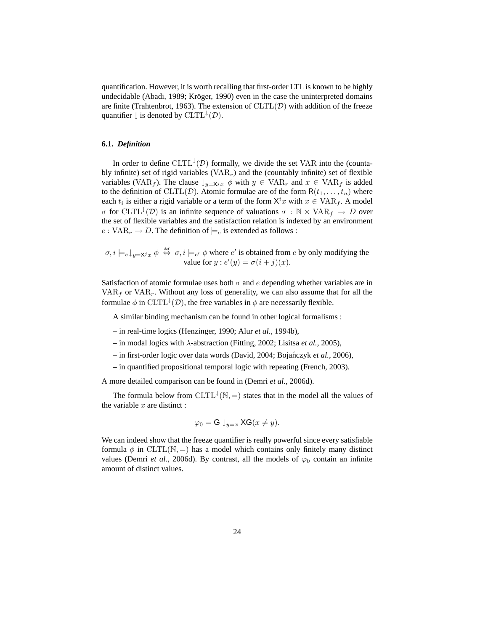quantification. However, it is worth recalling that first-order LTL is known to be highly undecidable (Abadi, 1989; Kröger, 1990) even in the case the uninterpreted domains are finite (Trahtenbrot, 1963). The extension of  $CLTL(\mathcal{D})$  with addition of the freeze quantifier  $\downarrow$  is denoted by  $CLTL^{\downarrow}(\mathcal{D})$ .

# **6.1.** *Definition*

In order to define  $CLTL^{\downarrow}(D)$  formally, we divide the set VAR into the (countably infinite) set of rigid variables  $(VAR<sub>r</sub>)$  and the (countably infinite) set of flexible variables (VAR<sub>f</sub>). The clause  $\downarrow_{y=x}$ ,  $\phi$  with  $y \in \text{VAR}_r$  and  $x \in \text{VAR}_f$  is added to the definition of CLTL(D). Atomic formulae are of the form  $R(t_1, \ldots, t_n)$  where each  $t_i$  is either a rigid variable or a term of the form  $\lambda^i x$  with  $x \in \text{VAR}_f$ . A model σ for CLTL<sup> $\downarrow$ </sup>(D) is an infinite sequence of valuations  $\sigma : \mathbb{N} \times \text{VAR}_f \rightarrow D$  over the set of flexible variables and the satisfaction relation is indexed by an environment  $e: VAR_r \to D$ . The definition of  $\models_e$  is extended as follows :

 $\sigma, i \models_e \downarrow_{y=X^jx} \phi \stackrel{\text{def}}{\Leftrightarrow} \sigma, i \models_{e'} \phi$  where  $e'$  is obtained from e by only modifying the value for  $y : e'(y) = \sigma(i+j)(x)$ .

Satisfaction of atomic formulae uses both  $\sigma$  and  $e$  depending whether variables are in  $VAR<sub>f</sub>$  or  $VAR<sub>r</sub>$ . Without any loss of generality, we can also assume that for all the formulae  $\phi$  in  $CLTL^{\downarrow}(D)$ , the free variables in  $\phi$  are necessarily flexible.

A similar binding mechanism can be found in other logical formalisms :

- in real-time logics (Henzinger, 1990; Alur *et al.*, 1994b),
- in modal logics with λ-abstraction (Fitting, 2002; Lisitsa *et al.*, 2005),
- in first-order logic over data words (David, 2004; Bojanczyk ´ *et al.*, 2006),
- in quantified propositional temporal logic with repeating (French, 2003).

A more detailed comparison can be found in (Demri *et al.*, 2006d).

The formula below from  $CLTL^{\downarrow}(\mathbb{N}, =)$  states that in the model all the values of the variable  $x$  are distinct :

$$
\varphi_0 = \mathsf{G} \downarrow_{y=x} \mathsf{XG}(x \neq y).
$$

We can indeed show that the freeze quantifier is really powerful since every satisfiable formula  $\phi$  in CLTL(N, =) has a model which contains only finitely many distinct values (Demri *et al.*, 2006d). By contrast, all the models of  $\varphi_0$  contain an infinite amount of distinct values.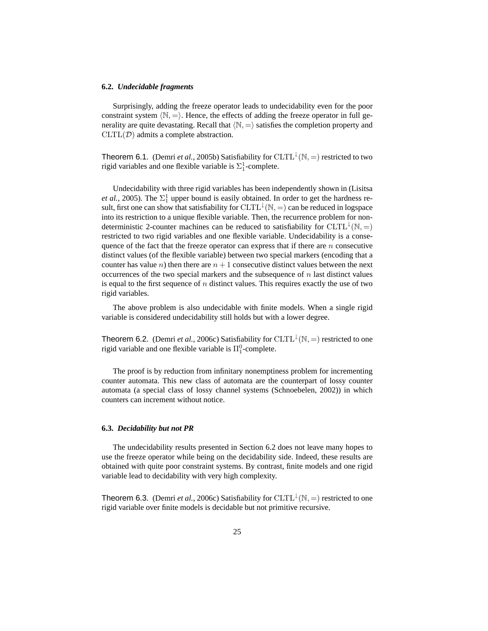#### **6.2.** *Undecidable fragments*

Surprisingly, adding the freeze operator leads to undecidability even for the poor constraint system  $\langle \mathbb{N}, - \rangle$ . Hence, the effects of adding the freeze operator in full generality are quite devastating. Recall that  $\langle N, = \rangle$  satisfies the completion property and  $CLTL(\mathcal{D})$  admits a complete abstraction.

Theorem 6.1. (Demri *et al.*, 2005b) Satisfiability for  $CLTL^{\downarrow}(\mathbb{N}, =)$  restricted to two rigid variables and one flexible variable is  $\Sigma_1^1$ -complete.

Undecidability with three rigid variables has been independently shown in (Lisitsa *et al.*, 2005). The  $\Sigma_1^1$  upper bound is easily obtained. In order to get the hardness result, first one can show that satisfiability for  ${\rm CLTL}^{\downarrow}({\mathbb N},=)$  can be reduced in logspace into its restriction to a unique flexible variable. Then, the recurrence problem for nondeterministic 2-counter machines can be reduced to satisfiability for  $CLTL^{\downarrow}(\mathbb{N}, =)$ restricted to two rigid variables and one flexible variable. Undecidability is a consequence of the fact that the freeze operator can express that if there are  $n$  consecutive distinct values (of the flexible variable) between two special markers (encoding that a counter has value n) then there are  $n + 1$  consecutive distinct values between the next occurrences of the two special markers and the subsequence of  $n$  last distinct values is equal to the first sequence of  $n$  distinct values. This requires exactly the use of two rigid variables.

The above problem is also undecidable with finite models. When a single rigid variable is considered undecidability still holds but with a lower degree.

Theorem 6.2. (Demri *et al.*, 2006c) Satisfiability for  $CLTL^{\downarrow}(\mathbb{N}, =)$  restricted to one rigid variable and one flexible variable is  $\Pi_1^0$ -complete.

The proof is by reduction from infinitary nonemptiness problem for incrementing counter automata. This new class of automata are the counterpart of lossy counter automata (a special class of lossy channel systems (Schnoebelen, 2002)) in which counters can increment without notice.

# **6.3.** *Decidability but not PR*

The undecidability results presented in Section 6.2 does not leave many hopes to use the freeze operator while being on the decidability side. Indeed, these results are obtained with quite poor constraint systems. By contrast, finite models and one rigid variable lead to decidability with very high complexity.

Theorem 6.3. (Demri *et al.*, 2006c) Satisfiability for  $CLTL^{\downarrow}(\mathbb{N}, =)$  restricted to one rigid variable over finite models is decidable but not primitive recursive.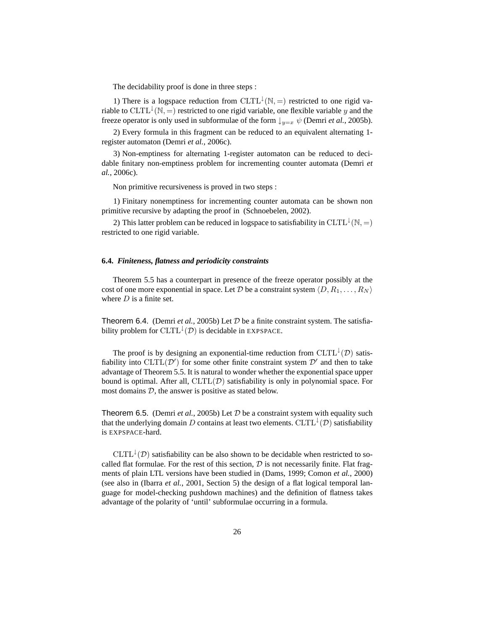The decidability proof is done in three steps :

1) There is a logspace reduction from CLTL<sup> $\downarrow$ </sup>(N, =) restricted to one rigid variable to  $CLTL^{\downarrow}(\mathbb{N}, =)$  restricted to one rigid variable, one flexible variable y and the freeze operator is only used in subformulae of the form  $\downarrow_{y=x} \psi$  (Demri *et al.*, 2005b).

2) Every formula in this fragment can be reduced to an equivalent alternating 1 register automaton (Demri *et al.*, 2006c).

3) Non-emptiness for alternating 1-register automaton can be reduced to decidable finitary non-emptiness problem for incrementing counter automata (Demri *et al.*, 2006c).

Non primitive recursiveness is proved in two steps :

1) Finitary nonemptiness for incrementing counter automata can be shown non primitive recursive by adapting the proof in (Schnoebelen, 2002).

2) This latter problem can be reduced in logspace to satisfiability in  $CLTL^{\downarrow}(\mathbb{N}, =)$ restricted to one rigid variable.

#### **6.4.** *Finiteness, flatness and periodicity constraints*

Theorem 5.5 has a counterpart in presence of the freeze operator possibly at the cost of one more exponential in space. Let D be a constraint system  $\langle D, R_1, \ldots, R_N \rangle$ where  $D$  is a finite set.

Theorem 6.4. (Demri *et al.*, 2005b) Let  $D$  be a finite constraint system. The satisfiability problem for  $CLTL^{\downarrow}(\mathcal{D})$  is decidable in EXPSPACE.

The proof is by designing an exponential-time reduction from  $CLTL^{\downarrow}(D)$  satisfiability into CLTL $(D')$  for some other finite constraint system  $D'$  and then to take advantage of Theorem 5.5. It is natural to wonder whether the exponential space upper bound is optimal. After all,  $CLTL(\mathcal{D})$  satisfiability is only in polynomial space. For most domains  $D$ , the answer is positive as stated below.

Theorem 6.5. (Demri  $et$   $al$ , 2005b) Let  $D$  be a constraint system with equality such that the underlying domain  $D$  contains at least two elements.  ${\rm CLTL}^{\downarrow}({\cal D})$  satisfiability is EXPSPACE-hard.

 $CLTL^{\downarrow}(D)$  satisfiability can be also shown to be decidable when restricted to socalled flat formulae. For the rest of this section,  $D$  is not necessarily finite. Flat fragments of plain LTL versions have been studied in (Dams, 1999; Comon *et al.*, 2000) (see also in (Ibarra *et al.*, 2001, Section 5) the design of a flat logical temporal language for model-checking pushdown machines) and the definition of flatness takes advantage of the polarity of 'until' subformulae occurring in a formula.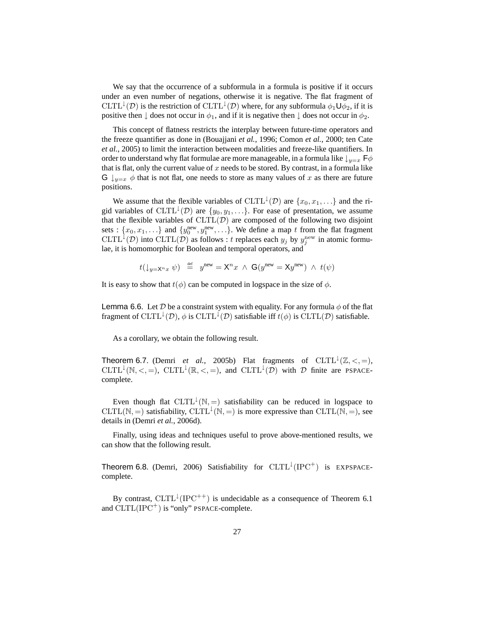We say that the occurrence of a subformula in a formula is positive if it occurs under an even number of negations, otherwise it is negative. The flat fragment of  $CLTL^{\downarrow}(D)$  is the restriction of  $CLTL^{\downarrow}(D)$  where, for any subformula  $\phi_1\mathsf{U}\phi_2$ , if it is positive then  $\downarrow$  does not occur in  $\phi_1$ , and if it is negative then  $\downarrow$  does not occur in  $\phi_2$ .

This concept of flatness restricts the interplay between future-time operators and the freeze quantifier as done in (Bouajjani *et al.*, 1996; Comon *et al.*, 2000; ten Cate *et al.*, 2005) to limit the interaction between modalities and freeze-like quantifiers. In order to understand why flat formulae are more manageable, in a formula like  $\downarrow_{y=x}$   $\mathsf{F}\phi$ that is flat, only the current value of  $x$  needs to be stored. By contrast, in a formula like G  $\downarrow$ <sub>*y*=x</sub>  $\phi$  that is not flat, one needs to store as many values of x as there are future positions.

We assume that the flexible variables of  $CLTL^{\downarrow}(\mathcal{D})$  are  $\{x_0, x_1, \ldots\}$  and the rigid variables of CLTL<sup> $\downarrow$ </sup>(D) are  $\{y_0, y_1, \ldots\}$ . For ease of presentation, we assume that the flexible variables of  $CLTL(\mathcal{D})$  are composed of the following two disjoint sets :  $\{x_0, x_1, \ldots\}$  and  $\{y_0^{\text{new}}, y_1^{\text{new}}, \ldots\}$ . We define a map t from the flat fragment CLTL<sup> $\downarrow$ </sup>(D) into CLTL(D) as follows : t replaces each  $y_j$  by  $y_j^{\text{new}}$  in atomic formulae, it is homomorphic for Boolean and temporal operators, and

$$
t(\downarrow_{y=X^n x} \psi) \stackrel{\text{def}}{=} y^{\text{new}} = \mathsf{X}^n x \ \wedge \ \mathsf{G}(y^{\text{new}} = \mathsf{X} y^{\text{new}}) \ \wedge \ t(\psi)
$$

It is easy to show that  $t(\phi)$  can be computed in logspace in the size of  $\phi$ .

**Lemma 6.6.** Let D be a constraint system with equality. For any formula  $\phi$  of the flat fragment of CLTL<sup>1</sup>(D),  $\phi$  is CLTL<sup>1</sup>(D) satisfiable iff  $t(\phi)$  is CLTL(D) satisfiable.

As a corollary, we obtain the following result.

**Theorem 6.7.** (Demri *et al.*, 2005b) Flat fragments of  $CLTL^{\downarrow}(\mathbb{Z}, <, =)$ ,  $CLTL^{\downarrow}(\mathbb{N}, <, =)$ ,  $CLTL^{\downarrow}(\mathbb{R}, <, =)$ , and  $CLTL^{\downarrow}(\mathcal{D})$  with  $\mathcal{D}$  finite are PSPACEcomplete.

Even though flat  $CLTL^{\downarrow}(N, =)$  satisfiability can be reduced in logspace to CLTL(N, =) satisfiability, CLTL<sup> $\downarrow$ </sup>(N, =) is more expressive than CLTL(N, =), see details in (Demri *et al.*, 2006d).

Finally, using ideas and techniques useful to prove above-mentioned results, we can show that the following result.

Theorem 6.8. (Demri, 2006) Satisfiability for  $CLTL^{\downarrow}(IPC^+)$  is EXPSPACEcomplete.

By contrast,  $CLTL^{\downarrow}(IPC^{++})$  is undecidable as a consequence of Theorem 6.1 and  $CLTL(IPC^+)$  is "only" PSPACE-complete.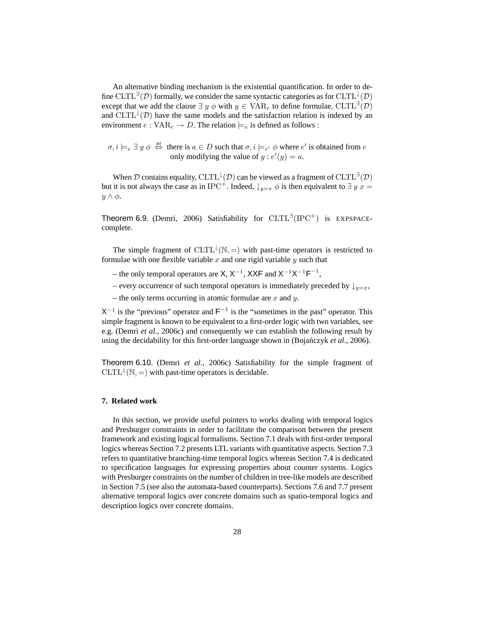An alternative binding mechanism is the existential quantification. In order to define CLTL<sup>∃</sup>(D) formally, we consider the same syntactic categories as for CLTL<sup>1</sup>(D) except that we add the clause  $\exists y \phi$  with  $y \in \text{VAR}_r$  to define formulae.  $\text{CLTL}^{\exists}(\mathcal{D})$ and  $CLTL^{\downarrow}(D)$  have the same models and the satisfaction relation is indexed by an environment  $e: VAR_r \to D$ . The relation  $\models_e$  is defined as follows :

 $\sigma, i \models_{e} \exists y \phi \stackrel{\text{def}}{\Leftrightarrow}$  there is  $a \in D$  such that  $\sigma, i \models_{e'} \phi$  where  $e'$  is obtained from  $e$ only modifying the value of  $y : e'(y) = a$ .

When D contains equality, CLTL<sup> $\downarrow$ </sup>(D) can be viewed as a fragment of CLTL<sup>∃</sup>(D) but it is not always the case as in IPC<sup>+</sup>. Indeed,  $\downarrow_{y=x} \phi$  is then equivalent to  $\exists y \ x =$  $y \wedge \phi$ .

Theorem 6.9. (Demri, 2006) Satisfiability for  $CLTL^{\exists}(IPC^+)$  is EXPSPACEcomplete.

The simple fragment of  $CLTL^{\downarrow}(\mathbb{N}, =)$  with past-time operators is restricted to formulae with one flexible variable  $x$  and one rigid variable  $y$  such that

- the only temporal operators are X,  $X^{-1}$ , XXF and  $X^{-1}X^{-1}F^{-1}$ ,
- every occurrence of such temporal operators is immediately preceded by  $\downarrow_{y=x}$ ,
- the only terms occurring in atomic formulae are  $x$  and  $y$ .

 $X^{-1}$  is the "previous" operator and  $F^{-1}$  is the "sometimes in the past" operator. This simple fragment is known to be equivalent to a first-order logic with two variables, see e.g. (Demri *et al.*, 2006c) and consequently we can establish the following result by using the decidability for this first-order language shown in (Bojańczyk et al., 2006).

Theorem 6.10. (Demri *et al.*, 2006c) Satisfiability for the simple fragment of  $CLTL^{\downarrow}(\mathbb{N}, =)$  with past-time operators is decidable.

#### **7. Related work**

In this section, we provide useful pointers to works dealing with temporal logics and Presburger constraints in order to facilitate the comparison between the present framework and existing logical formalisms. Section 7.1 deals with first-order temporal logics whereas Section 7.2 presents LTL variants with quantitative aspects. Section 7.3 refers to quantitative branching-time temporal logics whereas Section 7.4 is dedicated to specification languages for expressing properties about counter systems. Logics with Presburger constraints on the number of children in tree-like models are described in Section 7.5 (see also the automata-based counterparts). Sections 7.6 and 7.7 present alternative temporal logics over concrete domains such as spatio-temporal logics and description logics over concrete domains.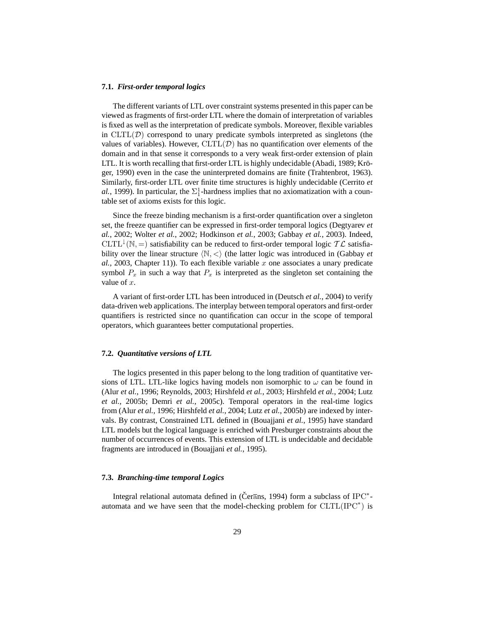#### **7.1.** *First-order temporal logics*

The different variants of LTL over constraint systems presented in this paper can be viewed as fragments of first-order LTL where the domain of interpretation of variables is fixed as well as the interpretation of predicate symbols. Moreover, flexible variables in  $CLTL(\mathcal{D})$  correspond to unary predicate symbols interpreted as singletons (the values of variables). However,  $CLTL(\mathcal{D})$  has no quantification over elements of the domain and in that sense it corresponds to a very weak first-order extension of plain LTL. It is worth recalling that first-order LTL is highly undecidable (Abadi, 1989; Kröger, 1990) even in the case the uninterpreted domains are finite (Trahtenbrot, 1963). Similarly, first-order LTL over finite time structures is highly undecidable (Cerrito *et al.*, 1999). In particular, the  $\Sigma_1^1$ -hardness implies that no axiomatization with a countable set of axioms exists for this logic.

Since the freeze binding mechanism is a first-order quantification over a singleton set, the freeze quantifier can be expressed in first-order temporal logics (Degtyarev *et al.*, 2002; Wolter *et al.*, 2002; Hodkinson *et al.*, 2003; Gabbay *et al.*, 2003). Indeed, CLTL<sup>1</sup>(N, =) satisfiability can be reduced to first-order temporal logic  $\mathcal{TL}$  satisfiability over the linear structure  $\langle \mathbb{N}, \langle \rangle$  (the latter logic was introduced in (Gabbay *et*  $al.$ , 2003, Chapter 11)). To each flexible variable  $x$  one associates a unary predicate symbol  $P_x$  in such a way that  $P_x$  is interpreted as the singleton set containing the value of  $x$ .

A variant of first-order LTL has been introduced in (Deutsch *et al.*, 2004) to verify data-driven web applications. The interplay between temporal operators and first-order quantifiers is restricted since no quantification can occur in the scope of temporal operators, which guarantees better computational properties.

# **7.2.** *Quantitative versions of LTL*

The logics presented in this paper belong to the long tradition of quantitative versions of LTL. LTL-like logics having models non isomorphic to  $\omega$  can be found in (Alur *et al.*, 1996; Reynolds, 2003; Hirshfeld *et al.*, 2003; Hirshfeld *et al.*, 2004; Lutz *et al.*, 2005b; Demri *et al.*, 2005c). Temporal operators in the real-time logics from (Alur *et al.*, 1996; Hirshfeld *et al.*, 2004; Lutz *et al.*, 2005b) are indexed by intervals. By contrast, Constrained LTL defined in (Bouajjani *et al.*, 1995) have standard LTL models but the logical language is enriched with Presburger constraints about the number of occurrences of events. This extension of LTL is undecidable and decidable fragments are introduced in (Bouajjani *et al.*, 1995).

# **7.3.** *Branching-time temporal Logics*

Integral relational automata defined in (Čerans, 1994) form a subclass of IPC<sup>\*</sup>automata and we have seen that the model-checking problem for  $CLTL(IPC^*)$  is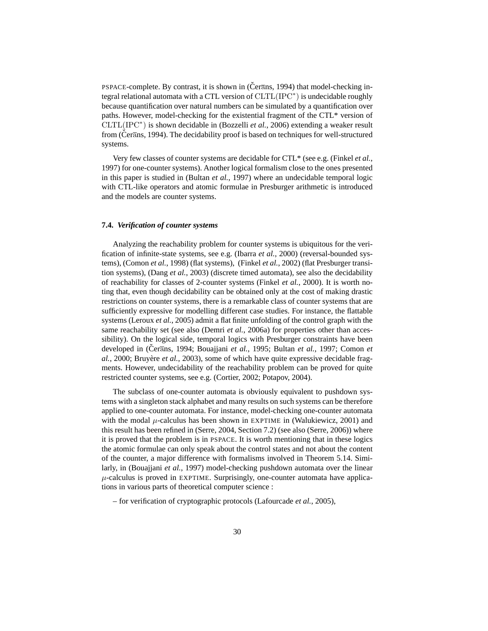PSPACE-complete. By contrast, it is shown in ( $\check{C}$ er $\overline{a}$ ns, 1994) that model-checking integral relational automata with a CTL version of  $CLTL(IPC^*)$  is undecidable roughly because quantification over natural numbers can be simulated by a quantification over paths. However, model-checking for the existential fragment of the CTL\* version of CLTL(IPC<sup>∗</sup> ) is shown decidable in (Bozzelli *et al.*, 2006) extending a weaker result from (Cerans, 1994). The decidability proof is based on techniques for well-structured systems.

Very few classes of counter systems are decidable for CTL\* (see e.g. (Finkel *et al.*, 1997) for one-counter systems). Another logical formalism close to the ones presented in this paper is studied in (Bultan *et al.*, 1997) where an undecidable temporal logic with CTL-like operators and atomic formulae in Presburger arithmetic is introduced and the models are counter systems.

#### **7.4.** *Verification of counter systems*

Analyzing the reachability problem for counter systems is ubiquitous for the verification of infinite-state systems, see e.g. (Ibarra *et al.*, 2000) (reversal-bounded systems), (Comon *et al.*, 1998) (flat systems), (Finkel *et al.*, 2002) (flat Presburger transition systems), (Dang *et al.*, 2003) (discrete timed automata), see also the decidability of reachability for classes of 2-counter systems (Finkel *et al.*, 2000). It is worth noting that, even though decidability can be obtained only at the cost of making drastic restrictions on counter systems, there is a remarkable class of counter systems that are sufficiently expressive for modelling different case studies. For instance, the flattable systems (Leroux *et al.*, 2005) admit a flat finite unfolding of the control graph with the same reachability set (see also (Demri *et al.*, 2006a) for properties other than accessibility). On the logical side, temporal logics with Presburger constraints have been developed in (Cerans, 1994; Bouajiani *et al.*, 1995; Bultan *et al.*, 1997; Comon *et al.*, 2000; Bruyère *et al.*, 2003), some of which have quite expressive decidable fragments. However, undecidability of the reachability problem can be proved for quite restricted counter systems, see e.g. (Cortier, 2002; Potapov, 2004).

The subclass of one-counter automata is obviously equivalent to pushdown systems with a singleton stack alphabet and many results on such systems can be therefore applied to one-counter automata. For instance, model-checking one-counter automata with the modal  $\mu$ -calculus has been shown in EXPTIME in (Walukiewicz, 2001) and this result has been refined in (Serre, 2004, Section 7.2) (see also (Serre, 2006)) where it is proved that the problem is in PSPACE. It is worth mentioning that in these logics the atomic formulae can only speak about the control states and not about the content of the counter, a major difference with formalisms involved in Theorem 5.14. Similarly, in (Bouajjani *et al.*, 1997) model-checking pushdown automata over the linear  $\mu$ -calculus is proved in EXPTIME. Surprisingly, one-counter automata have applications in various parts of theoretical computer science :

– for verification of cryptographic protocols (Lafourcade *et al.*, 2005),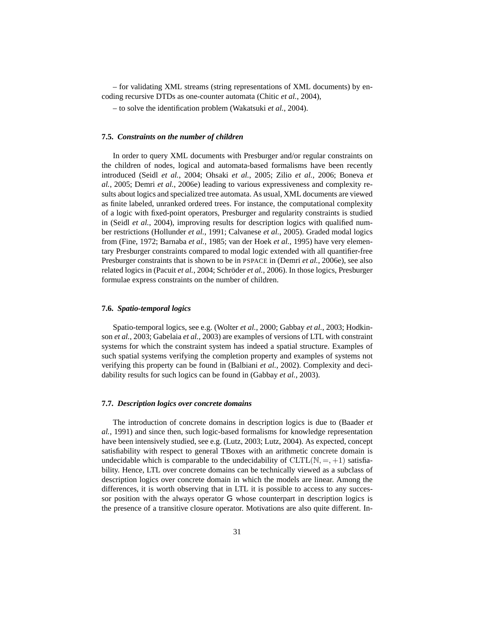– for validating XML streams (string representations of XML documents) by encoding recursive DTDs as one-counter automata (Chitic *et al.*, 2004),

– to solve the identification problem (Wakatsuki *et al.*, 2004).

#### **7.5.** *Constraints on the number of children*

In order to query XML documents with Presburger and/or regular constraints on the children of nodes, logical and automata-based formalisms have been recently introduced (Seidl *et al.*, 2004; Ohsaki *et al.*, 2005; Zilio *et al.*, 2006; Boneva *et al.*, 2005; Demri *et al.*, 2006e) leading to various expressiveness and complexity results about logics and specialized tree automata. As usual, XML documents are viewed as finite labeled, unranked ordered trees. For instance, the computational complexity of a logic with fixed-point operators, Presburger and regularity constraints is studied in (Seidl *et al.*, 2004), improving results for description logics with qualified number restrictions (Hollunder *et al.*, 1991; Calvanese *et al.*, 2005). Graded modal logics from (Fine, 1972; Barnaba *et al.*, 1985; van der Hoek *et al.*, 1995) have very elementary Presburger constraints compared to modal logic extended with all quantifier-free Presburger constraints that is shown to be in PSPACE in (Demri *et al.*, 2006e), see also related logics in (Pacuit *et al.*, 2004; Schröder *et al.*, 2006). In those logics, Presburger formulae express constraints on the number of children.

#### **7.6.** *Spatio-temporal logics*

Spatio-temporal logics, see e.g. (Wolter *et al.*, 2000; Gabbay *et al.*, 2003; Hodkinson *et al.*, 2003; Gabelaia *et al.*, 2003) are examples of versions of LTL with constraint systems for which the constraint system has indeed a spatial structure. Examples of such spatial systems verifying the completion property and examples of systems not verifying this property can be found in (Balbiani *et al.*, 2002). Complexity and decidability results for such logics can be found in (Gabbay *et al.*, 2003).

#### **7.7.** *Description logics over concrete domains*

The introduction of concrete domains in description logics is due to (Baader *et al.*, 1991) and since then, such logic-based formalisms for knowledge representation have been intensively studied, see e.g. (Lutz, 2003; Lutz, 2004). As expected, concept satisfiability with respect to general TBoxes with an arithmetic concrete domain is undecidable which is comparable to the undecidability of  $CLTL(N, =, +1)$  satisfiability. Hence, LTL over concrete domains can be technically viewed as a subclass of description logics over concrete domain in which the models are linear. Among the differences, it is worth observing that in LTL it is possible to access to any successor position with the always operator G whose counterpart in description logics is the presence of a transitive closure operator. Motivations are also quite different. In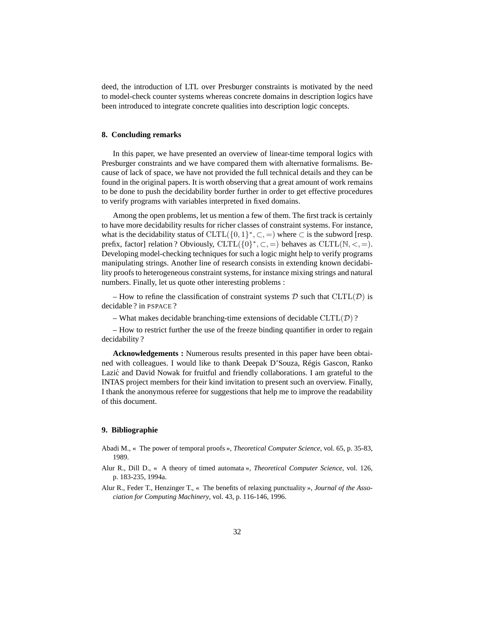deed, the introduction of LTL over Presburger constraints is motivated by the need to model-check counter systems whereas concrete domains in description logics have been introduced to integrate concrete qualities into description logic concepts.

# **8. Concluding remarks**

In this paper, we have presented an overview of linear-time temporal logics with Presburger constraints and we have compared them with alternative formalisms. Because of lack of space, we have not provided the full technical details and they can be found in the original papers. It is worth observing that a great amount of work remains to be done to push the decidability border further in order to get effective procedures to verify programs with variables interpreted in fixed domains.

Among the open problems, let us mention a few of them. The first track is certainly to have more decidability results for richer classes of constraint systems. For instance, what is the decidability status of  $CLTL(\lbrace 0, 1 \rbrace^*, \subset)$  where  $\subset$  is the subword [resp. prefix, factor] relation ? Obviously,  $CLTL({0}^*, \subset, =)$  behaves as  $CLTL(N, <, =)$ . Developing model-checking techniques for such a logic might help to verify programs manipulating strings. Another line of research consists in extending known decidability proofs to heterogeneous constraint systems, for instance mixing strings and natural numbers. Finally, let us quote other interesting problems :

– How to refine the classification of constraint systems  $D$  such that  $CLTL(D)$  is decidable ? in PSPACE ?

– What makes decidable branching-time extensions of decidable  $CLTL(\mathcal{D})$ ?

– How to restrict further the use of the freeze binding quantifier in order to regain decidability ?

**Acknowledgements :** Numerous results presented in this paper have been obtained with colleagues. I would like to thank Deepak D'Souza, Régis Gascon, Ranko Lazić and David Nowak for fruitful and friendly collaborations. I am grateful to the INTAS project members for their kind invitation to present such an overview. Finally, I thank the anonymous referee for suggestions that help me to improve the readability of this document.

# **9. Bibliographie**

- Abadi M., « The power of temporal proofs », *Theoretical Computer Science*, vol. 65, p. 35-83, 1989.
- Alur R., Dill D., « A theory of timed automata », *Theoretical Computer Science*, vol. 126, p. 183-235, 1994a.
- Alur R., Feder T., Henzinger T., « The benefits of relaxing punctuality », *Journal of the Association for Computing Machinery*, vol. 43, p. 116-146, 1996.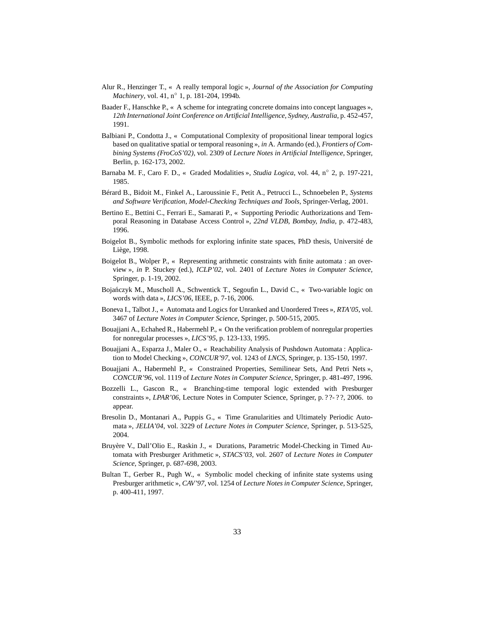- Alur R., Henzinger T., « A really temporal logic », *Journal of the Association for Computing Machinery*, vol. 41, n◦ 1, p. 181-204, 1994b.
- Baader F., Hanschke P., « A scheme for integrating concrete domains into concept languages », *12th International Joint Conference on Artificial Intelligence, Sydney, Australia*, p. 452-457, 1991.
- Balbiani P., Condotta J., « Computational Complexity of propositional linear temporal logics based on qualitative spatial or temporal reasoning », *in* A. Armando (ed.), *Frontiers of Combining Systems (FroCoS'02)*, vol. 2309 of *Lecture Notes in Artificial Intelligence*, Springer, Berlin, p. 162-173, 2002.
- Barnaba M. F., Caro F. D., « Graded Modalities », *Studia Logica*, vol. 44, n◦ 2, p. 197-221, 1985.
- Bérard B., Bidoit M., Finkel A., Laroussinie F., Petit A., Petrucci L., Schnoebelen P., *Systems and Software Verification, Model-Checking Techniques and Tools*, Springer-Verlag, 2001.
- Bertino E., Bettini C., Ferrari E., Samarati P., « Supporting Periodic Authorizations and Temporal Reasoning in Database Access Control », *22nd VLDB, Bombay, India*, p. 472-483, 1996.
- Boigelot B., Symbolic methods for exploring infinite state spaces, PhD thesis, Université de Liège, 1998.
- Boigelot B., Wolper P., « Representing arithmetic constraints with finite automata : an overview », *in* P. Stuckey (ed.), *ICLP'02*, vol. 2401 of *Lecture Notes in Computer Science*, Springer, p. 1-19, 2002.
- Bojańczyk M., Muscholl A., Schwentick T., Segoufin L., David C., « Two-variable logic on words with data », *LICS'06*, IEEE, p. 7-16, 2006.
- Boneva I., Talbot J., « Automata and Logics for Unranked and Unordered Trees », *RTA'05*, vol. 3467 of *Lecture Notes in Computer Science*, Springer, p. 500-515, 2005.
- Bouajjani A., Echahed R., Habermehl P., « On the verification problem of nonregular properties for nonregular processes », *LICS'95*, p. 123-133, 1995.
- Bouajjani A., Esparza J., Maler O., « Reachability Analysis of Pushdown Automata : Application to Model Checking », *CONCUR'97*, vol. 1243 of *LNCS*, Springer, p. 135-150, 1997.
- Bouajjani A., Habermehl P., « Constrained Properties, Semilinear Sets, And Petri Nets », *CONCUR'96*, vol. 1119 of *Lecture Notes in Computer Science*, Springer, p. 481-497, 1996.
- Bozzelli L., Gascon R., « Branching-time temporal logic extended with Presburger constraints », *LPAR'06*, Lecture Notes in Computer Science, Springer, p. ? ?- ? ?, 2006. to appear.
- Bresolin D., Montanari A., Puppis G., « Time Granularities and Ultimately Periodic Automata », *JELIA'04*, vol. 3229 of *Lecture Notes in Computer Science*, Springer, p. 513-525, 2004.
- Bruyère V., Dall'Olio E., Raskin J., « Durations, Parametric Model-Checking in Timed Automata with Presburger Arithmetic », *STACS'03*, vol. 2607 of *Lecture Notes in Computer Science*, Springer, p. 687-698, 2003.
- Bultan T., Gerber R., Pugh W., « Symbolic model checking of infinite state systems using Presburger arithmetic », *CAV'97*, vol. 1254 of *Lecture Notes in Computer Science*, Springer, p. 400-411, 1997.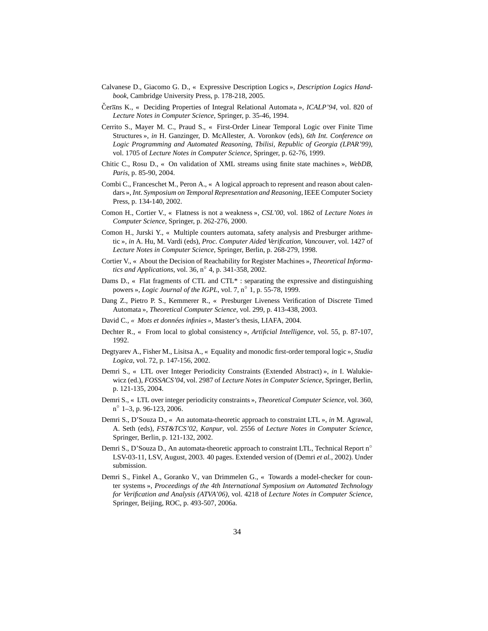- Calvanese D., Giacomo G. D., « Expressive Description Logics », *Description Logics Handbook*, Cambridge University Press, p. 178-218, 2005.
- Čerans K., « Deciding Properties of Integral Relational Automata », *ICALP'94*, vol. 820 of *Lecture Notes in Computer Science*, Springer, p. 35-46, 1994.
- Cerrito S., Mayer M. C., Praud S., « First-Order Linear Temporal Logic over Finite Time Structures », *in* H. Ganzinger, D. McAllester, A. Voronkov (eds), *6th Int. Conference on Logic Programming and Automated Reasoning, Tbilisi, Republic of Georgia (LPAR'99)*, vol. 1705 of *Lecture Notes in Computer Science*, Springer, p. 62-76, 1999.
- Chitic C., Rosu D., « On validation of XML streams using finite state machines », *WebDB, Paris*, p. 85-90, 2004.
- Combi C., Franceschet M., Peron A., « A logical approach to represent and reason about calendars », *Int. Symposium on Temporal Representation and Reasoning*, IEEE Computer Society Press, p. 134-140, 2002.
- Comon H., Cortier V., « Flatness is not a weakness », *CSL'00*, vol. 1862 of *Lecture Notes in Computer Science*, Springer, p. 262-276, 2000.
- Comon H., Jurski Y., « Multiple counters automata, safety analysis and Presburger arithmetic », *in* A. Hu, M. Vardi (eds), *Proc. Computer Aided Verification, Vancouver*, vol. 1427 of *Lecture Notes in Computer Science*, Springer, Berlin, p. 268-279, 1998.
- Cortier V., « About the Decision of Reachability for Register Machines », *Theoretical Informatics and Applications*, vol. 36, n◦ 4, p. 341-358, 2002.
- Dams D., « Flat fragments of CTL and CTL<sup>\*</sup> : separating the expressive and distinguishing powers », *Logic Journal of the IGPL*, vol. 7, n° 1, p. 55-78, 1999.
- Dang Z., Pietro P. S., Kemmerer R., « Presburger Liveness Verification of Discrete Timed Automata », *Theoretical Computer Science*, vol. 299, p. 413-438, 2003.
- David C.*, « Mots et données infinies »*, Master's thesis, LIAFA, 2004.
- Dechter R., « From local to global consistency », *Artificial Intelligence*, vol. 55, p. 87-107, 1992.
- Degtyarev A., Fisher M., Lisitsa A., « Equality and monodic first-order temporal logic », *Studia Logica*, vol. 72, p. 147-156, 2002.
- Demri S., « LTL over Integer Periodicity Constraints (Extended Abstract) », *in* I. Walukiewicz (ed.), *FOSSACS'04*, vol. 2987 of *Lecture Notes in Computer Science*, Springer, Berlin, p. 121-135, 2004.
- Demri S., « LTL over integer periodicity constraints », *Theoretical Computer Science*, vol. 360, n ◦ 1–3, p. 96-123, 2006.
- Demri S., D'Souza D., « An automata-theoretic approach to constraint LTL », *in* M. Agrawal, A. Seth (eds), *FST&TCS'02, Kanpur*, vol. 2556 of *Lecture Notes in Computer Science*, Springer, Berlin, p. 121-132, 2002.
- Demri S., D'Souza D., An automata-theoretic approach to constraint LTL, Technical Report n◦ LSV-03-11, LSV, August, 2003. 40 pages. Extended version of (Demri *et al.*, 2002). Under submission.
- Demri S., Finkel A., Goranko V., van Drimmelen G., « Towards a model-checker for counter systems », *Proceedings of the 4th International Symposium on Automated Technology for Verification and Analysis (ATVA'06)*, vol. 4218 of *Lecture Notes in Computer Science*, Springer, Beijing, ROC, p. 493-507, 2006a.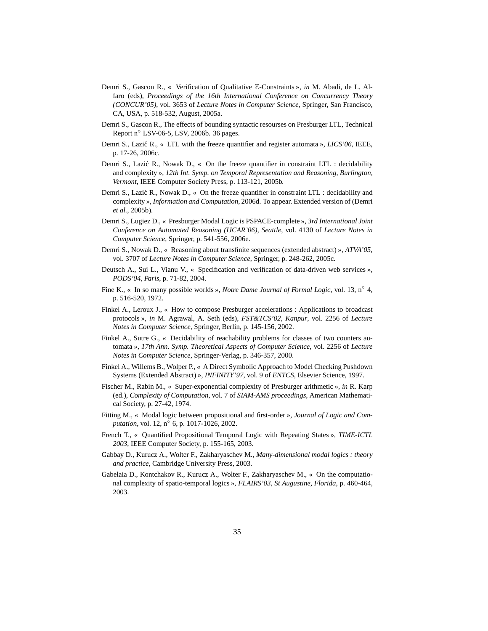- Demri S., Gascon R., « Verification of Qualitative Z-Constraints », *in* M. Abadi, de L. Alfaro (eds), *Proceedings of the 16th International Conference on Concurrency Theory (CONCUR'05)*, vol. 3653 of *Lecture Notes in Computer Science*, Springer, San Francisco, CA, USA, p. 518-532, August, 2005a.
- Demri S., Gascon R., The effects of bounding syntactic resourses on Presburger LTL, Technical Report n◦ LSV-06-5, LSV, 2006b. 36 pages.
- Demri S., Lazić R., « LTL with the freeze quantifier and register automata », *LICS'06*, IEEE, p. 17-26, 2006c.
- Demri S., Lazić R., Nowak D., « On the freeze quantifier in constraint LTL : decidability and complexity », *12th Int. Symp. on Temporal Representation and Reasoning, Burlington, Vermont*, IEEE Computer Society Press, p. 113-121, 2005b.
- Demri S., Lazić R., Nowak D., « On the freeze quantifier in constraint LTL : decidability and complexity », *Information and Computation*, 2006d. To appear. Extended version of (Demri *et al.*, 2005b).
- Demri S., Lugiez D., « Presburger Modal Logic is PSPACE-complete », *3rd International Joint Conference on Automated Reasoning (IJCAR'06), Seattle*, vol. 4130 of *Lecture Notes in Computer Science*, Springer, p. 541-556, 2006e.
- Demri S., Nowak D., « Reasoning about transfinite sequences (extended abstract) », *ATVA'05*, vol. 3707 of *Lecture Notes in Computer Science*, Springer, p. 248-262, 2005c.
- Deutsch A., Sui L., Vianu V., « Specification and verification of data-driven web services », *PODS'04, Paris*, p. 71-82, 2004.
- Fine K., « In so many possible worlds », *Notre Dame Journal of Formal Logic*, vol. 13, n◦ 4, p. 516-520, 1972.
- Finkel A., Leroux J., « How to compose Presburger accelerations : Applications to broadcast protocols », *in* M. Agrawal, A. Seth (eds), *FST&TCS'02, Kanpur*, vol. 2256 of *Lecture Notes in Computer Science*, Springer, Berlin, p. 145-156, 2002.
- Finkel A., Sutre G., « Decidability of reachability problems for classes of two counters automata », *17th Ann. Symp. Theoretical Aspects of Computer Science*, vol. 2256 of *Lecture Notes in Computer Science*, Springer-Verlag, p. 346-357, 2000.
- Finkel A., Willems B., Wolper P., « A Direct Symbolic Approach to Model Checking Pushdown Systems (Extended Abstract) », *INFINITY'97*, vol. 9 of *ENTCS*, Elsevier Science, 1997.
- Fischer M., Rabin M., « Super-exponential complexity of Presburger arithmetic », *in* R. Karp (ed.), *Complexity of Computation*, vol. 7 of *SIAM-AMS proceedings*, American Mathematical Society, p. 27-42, 1974.
- Fitting M., « Modal logic between propositional and first-order », *Journal of Logic and Computation*, vol. 12, n<sup>o</sup> 6, p. 1017-1026, 2002.
- French T., « Quantified Propositional Temporal Logic with Repeating States », *TIME-ICTL 2003*, IEEE Computer Society, p. 155-165, 2003.
- Gabbay D., Kurucz A., Wolter F., Zakharyaschev M., *Many-dimensional modal logics : theory and practice*, Cambridge University Press, 2003.
- Gabelaia D., Kontchakov R., Kurucz A., Wolter F., Zakharyaschev M., « On the computational complexity of spatio-temporal logics », *FLAIRS'03, St Augustine, Florida*, p. 460-464, 2003.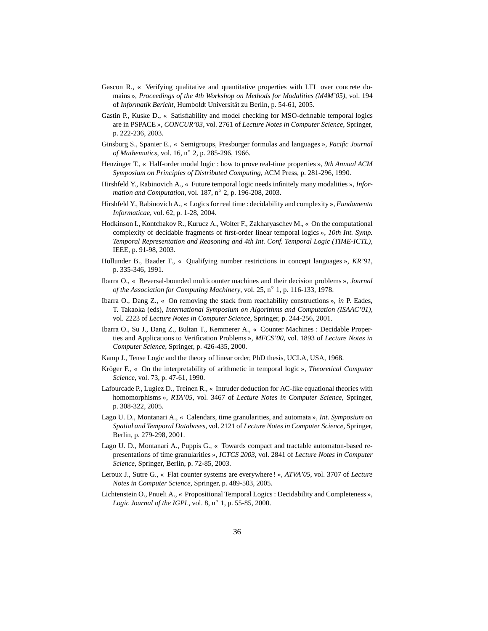- Gascon R., « Verifying qualitative and quantitative properties with LTL over concrete domains », *Proceedings of the 4th Workshop on Methods for Modalities (M4M'05)*, vol. 194 of *Informatik Bericht*, Humboldt Universität zu Berlin, p. 54-61, 2005.
- Gastin P., Kuske D., « Satisfiability and model checking for MSO-definable temporal logics are in PSPACE », *CONCUR'03*, vol. 2761 of *Lecture Notes in Computer Science*, Springer, p. 222-236, 2003.
- Ginsburg S., Spanier E., « Semigroups, Presburger formulas and languages », *Pacific Journal of Mathematics*, vol. 16, n◦ 2, p. 285-296, 1966.
- Henzinger T., « Half-order modal logic : how to prove real-time properties », *9th Annual ACM Symposium on Principles of Distributed Computing*, ACM Press, p. 281-296, 1990.
- Hirshfeld Y., Rabinovich A., « Future temporal logic needs infinitely many modalities », *Information and Computation*, vol. 187, n◦ 2, p. 196-208, 2003.
- Hirshfeld Y., Rabinovich A., « Logics for real time : decidability and complexity », *Fundamenta Informaticae*, vol. 62, p. 1-28, 2004.
- Hodkinson I., Kontchakov R., Kurucz A., Wolter F., Zakharyaschev M., « On the computational complexity of decidable fragments of first-order linear temporal logics », *10th Int. Symp. Temporal Representation and Reasoning and 4th Int. Conf. Temporal Logic (TIME-ICTL)*, IEEE, p. 91-98, 2003.
- Hollunder B., Baader F., « Qualifying number restrictions in concept languages », *KR'91*, p. 335-346, 1991.
- Ibarra O., « Reversal-bounded multicounter machines and their decision problems », *Journal of the Association for Computing Machinery*, vol. 25, n◦ 1, p. 116-133, 1978.
- Ibarra O., Dang Z., « On removing the stack from reachability constructions », *in* P. Eades, T. Takaoka (eds), *International Symposium on Algorithms and Computation (ISAAC'01)*, vol. 2223 of *Lecture Notes in Computer Science*, Springer, p. 244-256, 2001.
- Ibarra O., Su J., Dang Z., Bultan T., Kemmerer A., « Counter Machines : Decidable Properties and Applications to Verification Problems », *MFCS'00*, vol. 1893 of *Lecture Notes in Computer Science*, Springer, p. 426-435, 2000.
- Kamp J., Tense Logic and the theory of linear order, PhD thesis, UCLA, USA, 1968.
- Kröger F., « On the interpretability of arithmetic in temporal logic », *Theoretical Computer Science*, vol. 73, p. 47-61, 1990.
- Lafourcade P., Lugiez D., Treinen R., « Intruder deduction for AC-like equational theories with homomorphisms », *RTA'05*, vol. 3467 of *Lecture Notes in Computer Science*, Springer, p. 308-322, 2005.
- Lago U. D., Montanari A., « Calendars, time granularities, and automata », *Int. Symposium on Spatial and Temporal Databases*, vol. 2121 of *Lecture Notes in Computer Science*, Springer, Berlin, p. 279-298, 2001.
- Lago U. D., Montanari A., Puppis G., « Towards compact and tractable automaton-based representations of time granularities », *ICTCS 2003*, vol. 2841 of *Lecture Notes in Computer Science*, Springer, Berlin, p. 72-85, 2003.
- Leroux J., Sutre G., « Flat counter systems are everywhere ! », *ATVA'05*, vol. 3707 of *Lecture Notes in Computer Science*, Springer, p. 489-503, 2005.
- Lichtenstein O., Pnueli A., « Propositional Temporal Logics : Decidability and Completeness », *Logic Journal of the IGPL*, vol. 8, n◦ 1, p. 55-85, 2000.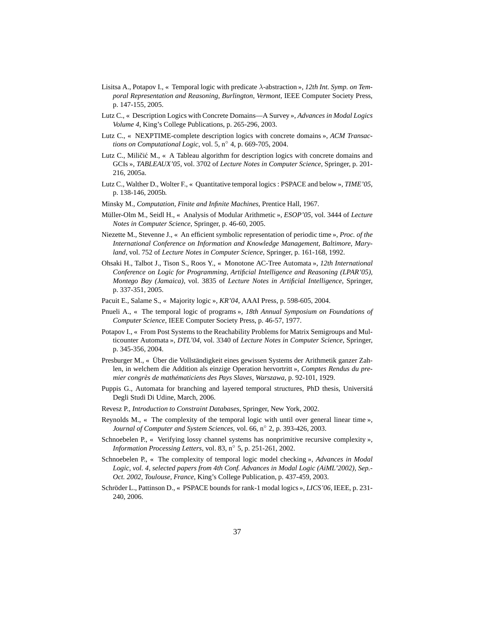- Lisitsa A., Potapov I., « Temporal logic with predicate λ-abstraction », *12th Int. Symp. on Temporal Representation and Reasoning, Burlington, Vermont*, IEEE Computer Society Press, p. 147-155, 2005.
- Lutz C., « Description Logics with Concrete Domains—A Survey », *Advances in Modal Logics Volume 4*, King's College Publications, p. 265-296, 2003.
- Lutz C., « NEXPTIME-complete description logics with concrete domains », *ACM Transactions on Computational Logic*, vol. 5, n◦ 4, p. 669-705, 2004.
- Lutz C., Miličić M.,  $\ll$  A Tableau algorithm for description logics with concrete domains and GCIs », *TABLEAUX'05*, vol. 3702 of *Lecture Notes in Computer Science*, Springer, p. 201- 216, 2005a.
- Lutz C., Walther D., Wolter F., « Quantitative temporal logics : PSPACE and below », *TIME'05*, p. 138-146, 2005b.
- Minsky M., *Computation, Finite and Infinite Machines*, Prentice Hall, 1967.
- Müller-Olm M., Seidl H., « Analysis of Modular Arithmetic », *ESOP'05*, vol. 3444 of *Lecture Notes in Computer Science*, Springer, p. 46-60, 2005.
- Niezette M., Stevenne J., « An efficient symbolic representation of periodic time », *Proc. of the International Conference on Information and Knowledge Management, Baltimore, Maryland*, vol. 752 of *Lecture Notes in Computer Science*, Springer, p. 161-168, 1992.
- Ohsaki H., Talbot J., Tison S., Roos Y., « Monotone AC-Tree Automata », *12th International Conference on Logic for Programming, Artificial Intelligence and Reasoning (LPAR'05), Montego Bay (Jamaica)*, vol. 3835 of *Lecture Notes in Artificial Intelligence*, Springer, p. 337-351, 2005.
- Pacuit E., Salame S., « Majority logic », *KR'04*, AAAI Press, p. 598-605, 2004.
- Pnueli A., « The temporal logic of programs », *18th Annual Symposium on Foundations of Computer Science*, IEEE Computer Society Press, p. 46-57, 1977.
- Potapov I., « From Post Systems to the Reachability Problems for Matrix Semigroups and Multicounter Automata », *DTL'04*, vol. 3340 of *Lecture Notes in Computer Science*, Springer, p. 345-356, 2004.
- Presburger M., « Über die Vollständigkeit eines gewissen Systems der Arithmetik ganzer Zahlen, in welchem die Addition als einzige Operation hervortritt », *Comptes Rendus du premier congrès de mathématiciens des Pays Slaves, Warszawa*, p. 92-101, 1929.
- Puppis G., Automata for branching and layered temporal structures, PhD thesis, Universitá Degli Studi Di Udine, March, 2006.
- Revesz P., *Introduction to Constraint Databases*, Springer, New York, 2002.
- Reynolds M., « The complexity of the temporal logic with until over general linear time », *Journal of Computer and System Sciences*, vol. 66, n◦ 2, p. 393-426, 2003.
- Schnoebelen P., « Verifying lossy channel systems has nonprimitive recursive complexity », *Information Processing Letters*, vol. 83, n◦ 5, p. 251-261, 2002.
- Schnoebelen P., « The complexity of temporal logic model checking », *Advances in Modal Logic, vol. 4, selected papers from 4th Conf. Advances in Modal Logic (AiML'2002), Sep.- Oct. 2002, Toulouse, France*, King's College Publication, p. 437-459, 2003.
- Schröder L., Pattinson D., « PSPACE bounds for rank-1 modal logics », *LICS'06*, IEEE, p. 231- 240, 2006.